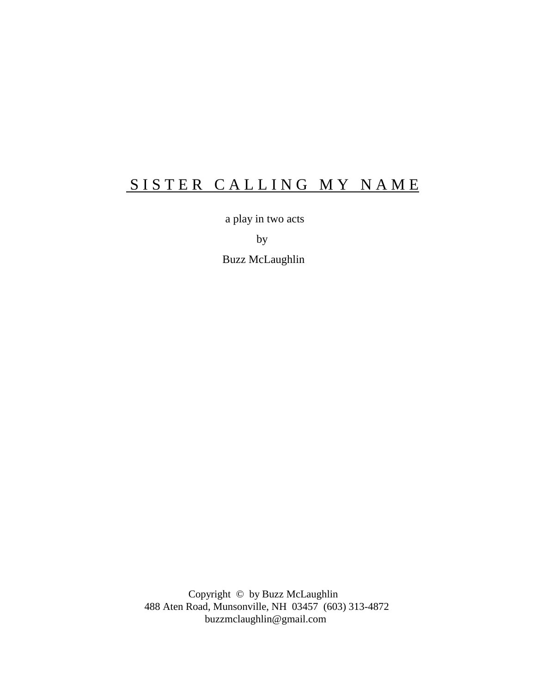# SISTER CALLING MY NAME

a play in two acts

by

Buzz McLaughlin

 Copyright © by Buzz McLaughlin 488 Aten Road, Munsonville, NH 03457 (603) 313-4872 buzzmclaughlin@gmail.com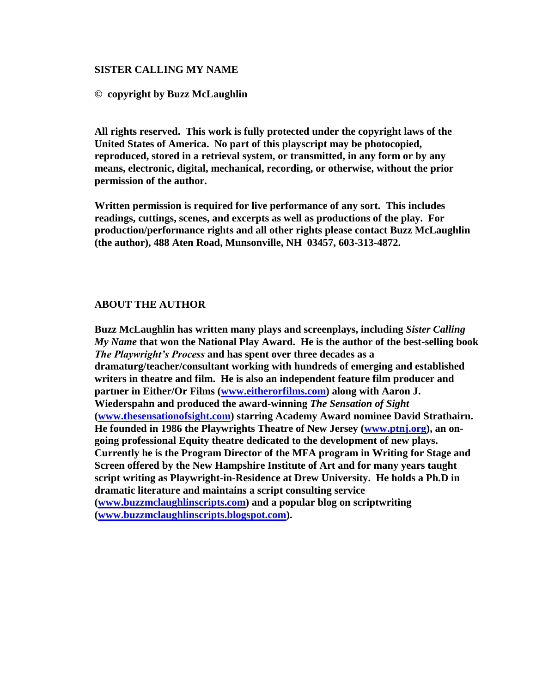## **SISTER CALLING MY NAME**

## **© copyright by Buzz McLaughlin**

**All rights reserved. This work is fully protected under the copyright laws of the United States of America. No part of this playscript may be photocopied, reproduced, stored in a retrieval system, or transmitted, in any form or by any means, electronic, digital, mechanical, recording, or otherwise, without the prior permission of the author.** 

**Written permission is required for live performance of any sort. This includes readings, cuttings, scenes, and excerpts as well as productions of the play. For production/performance rights and all other rights please contact Buzz McLaughlin (the author), 488 Aten Road, Munsonville, NH 03457, 603-313-4872.**

## **ABOUT THE AUTHOR**

**Buzz McLaughlin has written many plays and screenplays, including** *Sister Calling My Name* **that won the National Play Award. He is the author of the best-selling book**  *The Playwright's Process* **and has spent over three decades as a dramaturg/teacher/consultant working with hundreds of emerging and established writers in theatre and film. He is also an independent feature film producer and partner in Either/Or Films [\(www.eitherorfilms.com\)](http://www.eitherorfilms.com/) along with Aaron J. Wiederspahn and produced the award-winning** *The Sensation of Sight*  **[\(www.thesensationofsight.com\)](http://www.thesensationofsight.com/) starring Academy Award nominee David Strathairn. He founded in 1986 the Playwrights Theatre of New Jersey [\(www.ptnj.org\)](http://www.ptnj.org/), an ongoing professional Equity theatre dedicated to the development of new plays. Currently he is the Program Director of the MFA program in Writing for Stage and Screen offered by the New Hampshire Institute of Art and for many years taught script writing as Playwright-in-Residence at Drew University. He holds a Ph.D in dramatic literature and maintains a script consulting service [\(www.buzzmclaughlinscripts.com\)](http://www.buzzmclaughlinscripts.com/) and a popular blog on scriptwriting [\(www.buzzmclaughlinscripts.blogspot.com\)](http://www.buzzmclaughlinscripts.blogspot.com/).**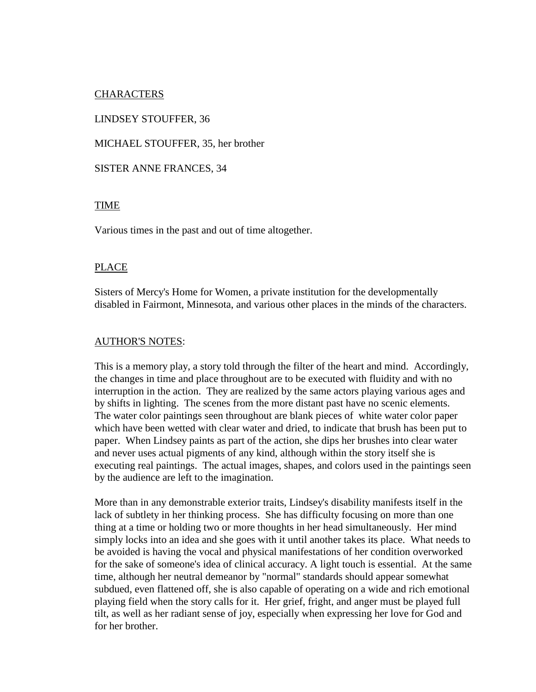## CHARACTERS

LINDSEY STOUFFER, 36

MICHAEL STOUFFER, 35, her brother

## SISTER ANNE FRANCES, 34

## TIME

Various times in the past and out of time altogether.

## PLACE

Sisters of Mercy's Home for Women, a private institution for the developmentally disabled in Fairmont, Minnesota, and various other places in the minds of the characters.

## AUTHOR'S NOTES:

This is a memory play, a story told through the filter of the heart and mind. Accordingly, the changes in time and place throughout are to be executed with fluidity and with no interruption in the action. They are realized by the same actors playing various ages and by shifts in lighting. The scenes from the more distant past have no scenic elements. The water color paintings seen throughout are blank pieces of white water color paper which have been wetted with clear water and dried, to indicate that brush has been put to paper. When Lindsey paints as part of the action, she dips her brushes into clear water and never uses actual pigments of any kind, although within the story itself she is executing real paintings. The actual images, shapes, and colors used in the paintings seen by the audience are left to the imagination.

More than in any demonstrable exterior traits, Lindsey's disability manifests itself in the lack of subtlety in her thinking process. She has difficulty focusing on more than one thing at a time or holding two or more thoughts in her head simultaneously. Her mind simply locks into an idea and she goes with it until another takes its place. What needs to be avoided is having the vocal and physical manifestations of her condition overworked for the sake of someone's idea of clinical accuracy. A light touch is essential. At the same time, although her neutral demeanor by "normal" standards should appear somewhat subdued, even flattened off, she is also capable of operating on a wide and rich emotional playing field when the story calls for it. Her grief, fright, and anger must be played full tilt, as well as her radiant sense of joy, especially when expressing her love for God and for her brother.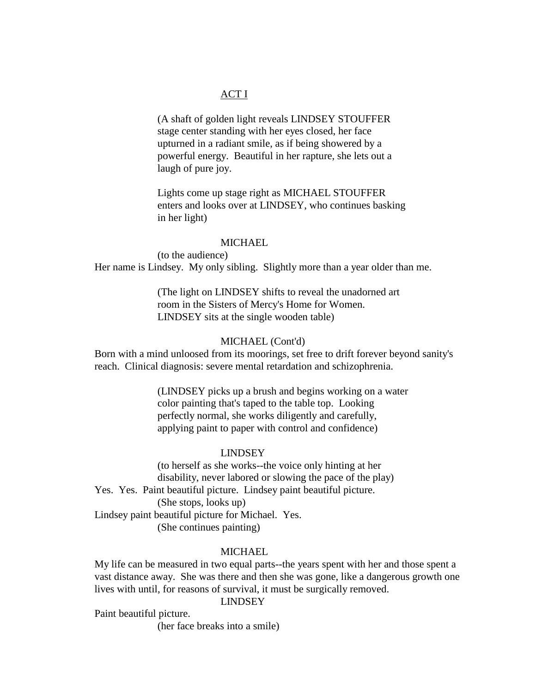## ACT I

(A shaft of golden light reveals LINDSEY STOUFFER stage center standing with her eyes closed, her face upturned in a radiant smile, as if being showered by a powerful energy. Beautiful in her rapture, she lets out a laugh of pure joy.

Lights come up stage right as MICHAEL STOUFFER enters and looks over at LINDSEY, who continues basking in her light)

### MICHAEL.

(to the audience) Her name is Lindsey. My only sibling. Slightly more than a year older than me.

> (The light on LINDSEY shifts to reveal the unadorned art room in the Sisters of Mercy's Home for Women. LINDSEY sits at the single wooden table)

## MICHAEL (Cont'd)

Born with a mind unloosed from its moorings, set free to drift forever beyond sanity's reach. Clinical diagnosis: severe mental retardation and schizophrenia.

> (LINDSEY picks up a brush and begins working on a water color painting that's taped to the table top. Looking perfectly normal, she works diligently and carefully, applying paint to paper with control and confidence)

#### LINDSEY

(to herself as she works--the voice only hinting at her disability, never labored or slowing the pace of the play) Yes. Yes. Paint beautiful picture. Lindsey paint beautiful picture. (She stops, looks up) Lindsey paint beautiful picture for Michael. Yes. (She continues painting)

#### MICHAEL.

My life can be measured in two equal parts--the years spent with her and those spent a vast distance away. She was there and then she was gone, like a dangerous growth one lives with until, for reasons of survival, it must be surgically removed.

## LINDSEY

Paint beautiful picture.

(her face breaks into a smile)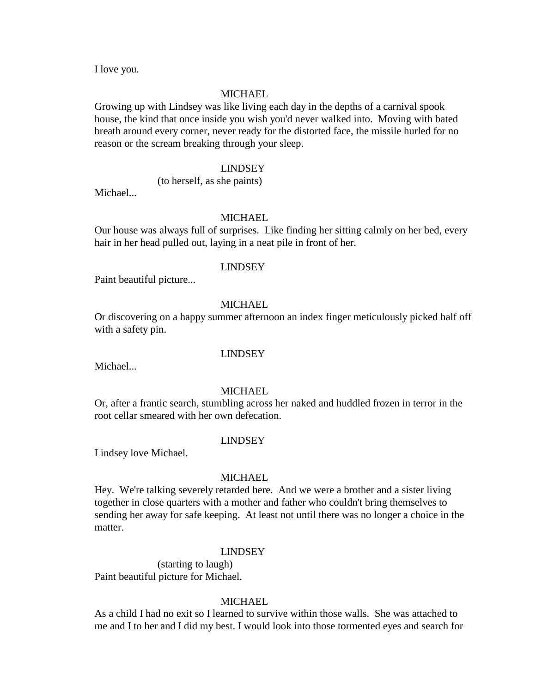I love you.

#### MICHAEL

Growing up with Lindsey was like living each day in the depths of a carnival spook house, the kind that once inside you wish you'd never walked into. Moving with bated breath around every corner, never ready for the distorted face, the missile hurled for no reason or the scream breaking through your sleep.

## LINDSEY

(to herself, as she paints)

Michael...

## **MICHAEL**

Our house was always full of surprises. Like finding her sitting calmly on her bed, every hair in her head pulled out, laying in a neat pile in front of her.

#### LINDSEY

Paint beautiful picture...

## MICHAEL

Or discovering on a happy summer afternoon an index finger meticulously picked half off with a safety pin.

#### LINDSEY

Michael...

#### MICHAEL

Or, after a frantic search, stumbling across her naked and huddled frozen in terror in the root cellar smeared with her own defecation.

#### LINDSEY

Lindsey love Michael.

#### MICHAEL

Hey. We're talking severely retarded here. And we were a brother and a sister living together in close quarters with a mother and father who couldn't bring themselves to sending her away for safe keeping. At least not until there was no longer a choice in the matter.

#### LINDSEY

(starting to laugh) Paint beautiful picture for Michael.

## MICHAEL.

As a child I had no exit so I learned to survive within those walls. She was attached to me and I to her and I did my best. I would look into those tormented eyes and search for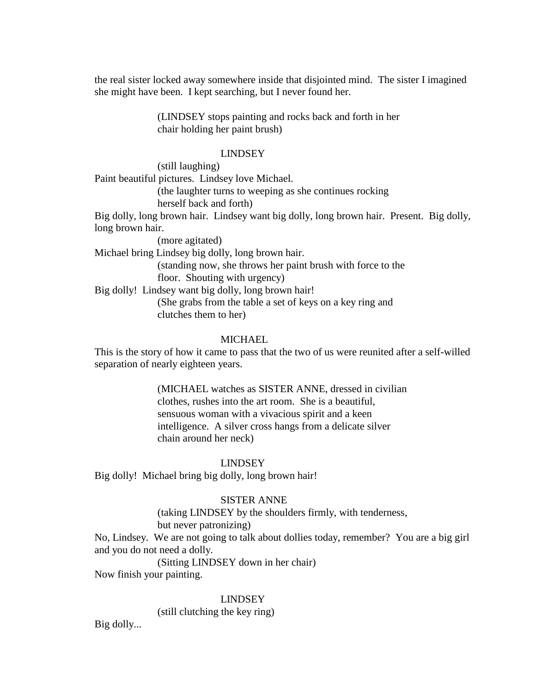the real sister locked away somewhere inside that disjointed mind. The sister I imagined she might have been. I kept searching, but I never found her.

> (LINDSEY stops painting and rocks back and forth in her chair holding her paint brush)

### LINDSEY

(still laughing)

Paint beautiful pictures. Lindsey love Michael. (the laughter turns to weeping as she continues rocking herself back and forth) Big dolly, long brown hair. Lindsey want big dolly, long brown hair. Present. Big dolly, long brown hair. (more agitated) Michael bring Lindsey big dolly, long brown hair. (standing now, she throws her paint brush with force to the floor. Shouting with urgency) Big dolly! Lindsey want big dolly, long brown hair! (She grabs from the table a set of keys on a key ring and clutches them to her)

### MICHAEL

This is the story of how it came to pass that the two of us were reunited after a self-willed separation of nearly eighteen years.

> (MICHAEL watches as SISTER ANNE, dressed in civilian clothes, rushes into the art room. She is a beautiful, sensuous woman with a vivacious spirit and a keen intelligence. A silver cross hangs from a delicate silver chain around her neck)

#### LINDSEY

Big dolly! Michael bring big dolly, long brown hair!

### SISTER ANNE

(taking LINDSEY by the shoulders firmly, with tenderness, but never patronizing)

No, Lindsey. We are not going to talk about dollies today, remember? You are a big girl and you do not need a dolly.

(Sitting LINDSEY down in her chair)

Now finish your painting.

#### LINDSEY

(still clutching the key ring)

Big dolly...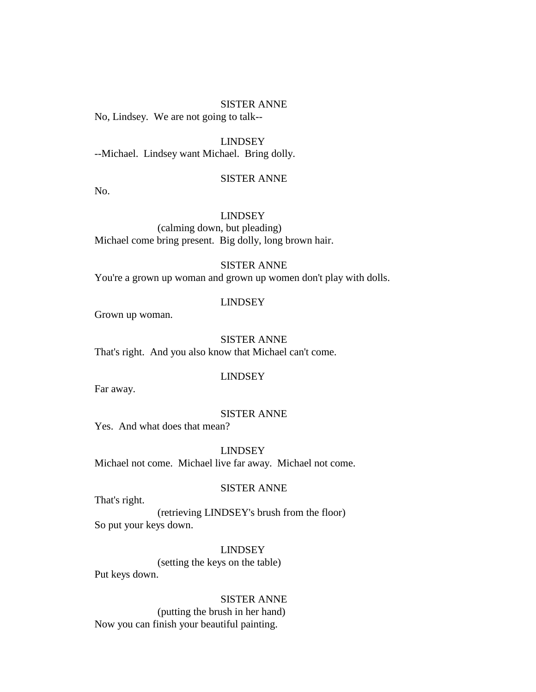No, Lindsey. We are not going to talk--

LINDSEY

--Michael. Lindsey want Michael. Bring dolly.

## SISTER ANNE

No.

### LINDSEY

(calming down, but pleading) Michael come bring present. Big dolly, long brown hair.

## SISTER ANNE

You're a grown up woman and grown up women don't play with dolls.

## LINDSEY

Grown up woman.

SISTER ANNE That's right. And you also know that Michael can't come.

#### LINDSEY

Far away.

## SISTER ANNE

Yes. And what does that mean?

## LINDSEY

Michael not come. Michael live far away. Michael not come.

#### SISTER ANNE

That's right.

(retrieving LINDSEY's brush from the floor) So put your keys down.

## LINDSEY

(setting the keys on the table) Put keys down.

SISTER ANNE (putting the brush in her hand) Now you can finish your beautiful painting.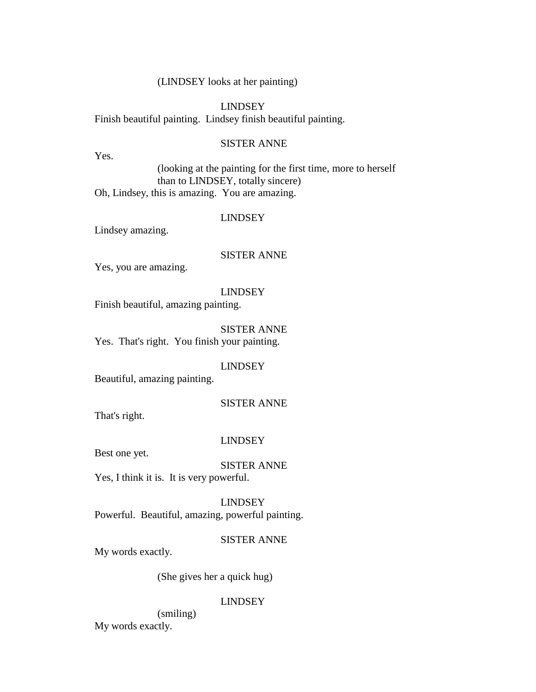## (LINDSEY looks at her painting)

## LINDSEY

Finish beautiful painting. Lindsey finish beautiful painting.

### SISTER ANNE

Yes.

(looking at the painting for the first time, more to herself than to LINDSEY, totally sincere) Oh, Lindsey, this is amazing. You are amazing.

## LINDSEY

Lindsey amazing.

## SISTER ANNE

Yes, you are amazing.

#### LINDSEY

Finish beautiful, amazing painting.

SISTER ANNE Yes. That's right. You finish your painting.

## LINDSEY

Beautiful, amazing painting.

## SISTER ANNE

That's right.

#### LINDSEY

Best one yet.

# SISTER ANNE

Yes, I think it is. It is very powerful.

LINDSEY Powerful. Beautiful, amazing, powerful painting.

## SISTER ANNE

My words exactly.

(She gives her a quick hug)

## LINDSEY

(smiling) My words exactly.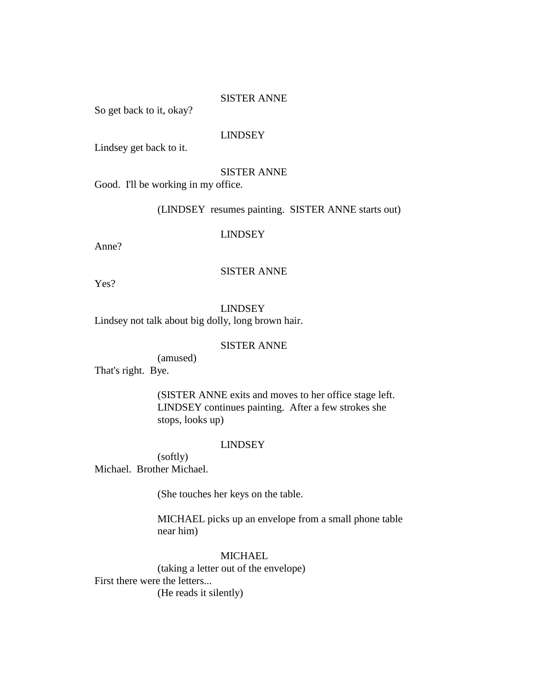So get back to it, okay?

## LINDSEY

Lindsey get back to it.

#### SISTER ANNE

Good. I'll be working in my office.

(LINDSEY resumes painting. SISTER ANNE starts out)

#### LINDSEY

Anne?

## SISTER ANNE

Yes?

LINDSEY Lindsey not talk about big dolly, long brown hair.

## SISTER ANNE

(amused) That's right. Bye.

> (SISTER ANNE exits and moves to her office stage left. LINDSEY continues painting. After a few strokes she stops, looks up)

### LINDSEY

(softly) Michael. Brother Michael.

(She touches her keys on the table.

MICHAEL picks up an envelope from a small phone table near him)

## MICHAEL

(taking a letter out of the envelope) First there were the letters... (He reads it silently)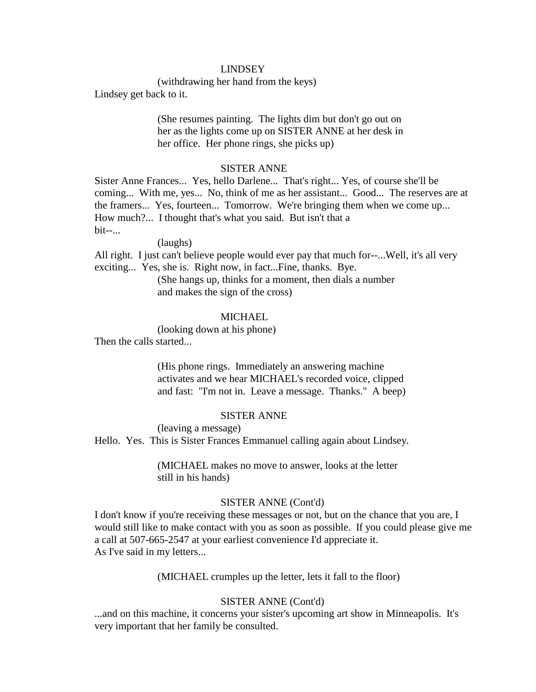## LINDSEY

(withdrawing her hand from the keys)

Lindsey get back to it.

(She resumes painting. The lights dim but don't go out on her as the lights come up on SISTER ANNE at her desk in her office. Her phone rings, she picks up)

### SISTER ANNE

Sister Anne Frances... Yes, hello Darlene... That's right... Yes, of course she'll be coming... With me, yes... No, think of me as her assistant... Good... The reserves are at the framers... Yes, fourteen... Tomorrow. We're bringing them when we come up... How much?... I thought that's what you said. But isn't that a bit--...

(laughs)

All right. I just can't believe people would ever pay that much for--...Well, it's all very exciting... Yes, she is. Right now, in fact...Fine, thanks. Bye.

> (She hangs up, thinks for a moment, then dials a number and makes the sign of the cross)

## **MICHAEL**

(looking down at his phone) Then the calls started...

> (His phone rings. Immediately an answering machine activates and we hear MICHAEL's recorded voice, clipped and fast: "I'm not in. Leave a message. Thanks." A beep)

## SISTER ANNE

(leaving a message)

Hello. Yes. This is Sister Frances Emmanuel calling again about Lindsey.

(MICHAEL makes no move to answer, looks at the letter still in his hands)

#### SISTER ANNE (Cont'd)

I don't know if you're receiving these messages or not, but on the chance that you are, I would still like to make contact with you as soon as possible. If you could please give me a call at 507-665-2547 at your earliest convenience I'd appreciate it. As I've said in my letters...

(MICHAEL crumples up the letter, lets it fall to the floor)

## SISTER ANNE (Cont'd)

...and on this machine, it concerns your sister's upcoming art show in Minneapolis. It's very important that her family be consulted.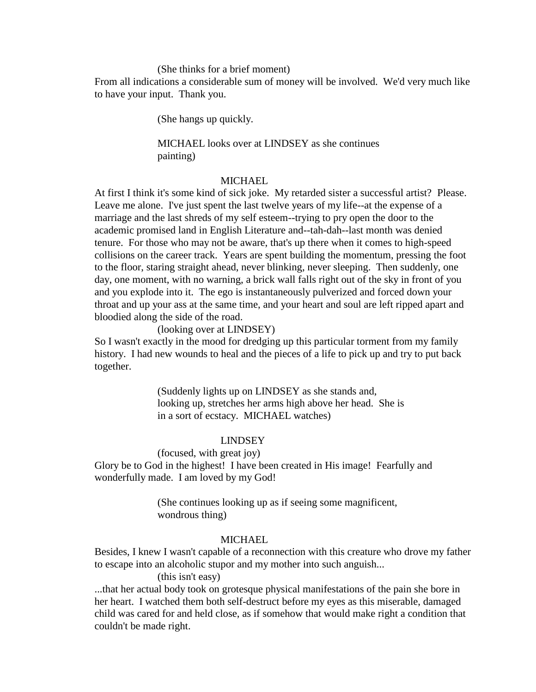#### (She thinks for a brief moment)

From all indications a considerable sum of money will be involved. We'd very much like to have your input. Thank you.

(She hangs up quickly.

## MICHAEL looks over at LINDSEY as she continues painting)

## MICHAEL

At first I think it's some kind of sick joke. My retarded sister a successful artist? Please. Leave me alone. I've just spent the last twelve years of my life--at the expense of a marriage and the last shreds of my self esteem--trying to pry open the door to the academic promised land in English Literature and--tah-dah--last month was denied tenure. For those who may not be aware, that's up there when it comes to high-speed collisions on the career track. Years are spent building the momentum, pressing the foot to the floor, staring straight ahead, never blinking, never sleeping. Then suddenly, one day, one moment, with no warning, a brick wall falls right out of the sky in front of you and you explode into it. The ego is instantaneously pulverized and forced down your throat and up your ass at the same time, and your heart and soul are left ripped apart and bloodied along the side of the road.

(looking over at LINDSEY)

So I wasn't exactly in the mood for dredging up this particular torment from my family history. I had new wounds to heal and the pieces of a life to pick up and try to put back together.

> (Suddenly lights up on LINDSEY as she stands and, looking up, stretches her arms high above her head. She is in a sort of ecstacy. MICHAEL watches)

#### LINDSEY

## (focused, with great joy)

Glory be to God in the highest! I have been created in His image! Fearfully and wonderfully made. I am loved by my God!

> (She continues looking up as if seeing some magnificent, wondrous thing)

## **MICHAEL**

Besides, I knew I wasn't capable of a reconnection with this creature who drove my father to escape into an alcoholic stupor and my mother into such anguish...

## (this isn't easy)

...that her actual body took on grotesque physical manifestations of the pain she bore in her heart. I watched them both self-destruct before my eyes as this miserable, damaged child was cared for and held close, as if somehow that would make right a condition that couldn't be made right.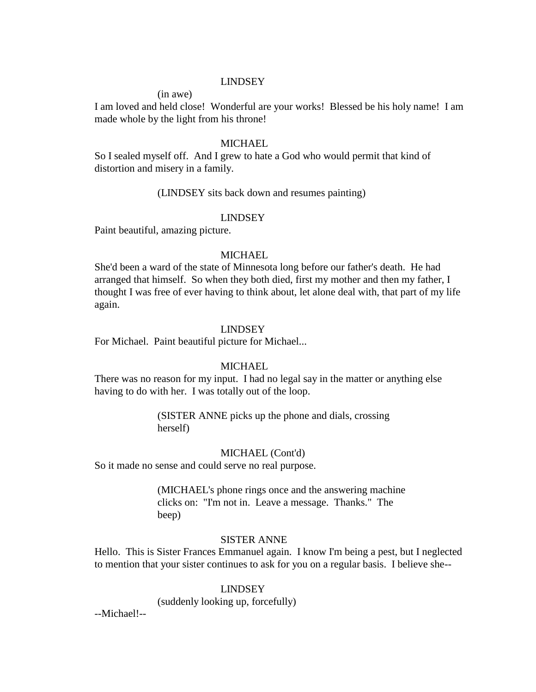### LINDSEY

(in awe)

I am loved and held close! Wonderful are your works! Blessed be his holy name! I am made whole by the light from his throne!

### **MICHAEL**

So I sealed myself off. And I grew to hate a God who would permit that kind of distortion and misery in a family.

#### (LINDSEY sits back down and resumes painting)

### LINDSEY

Paint beautiful, amazing picture.

## **MICHAEL**

She'd been a ward of the state of Minnesota long before our father's death. He had arranged that himself. So when they both died, first my mother and then my father, I thought I was free of ever having to think about, let alone deal with, that part of my life again.

#### LINDSEY

For Michael. Paint beautiful picture for Michael...

#### **MICHAEL**

There was no reason for my input. I had no legal say in the matter or anything else having to do with her. I was totally out of the loop.

> (SISTER ANNE picks up the phone and dials, crossing herself)

#### MICHAEL (Cont'd)

So it made no sense and could serve no real purpose.

(MICHAEL's phone rings once and the answering machine clicks on: "I'm not in. Leave a message. Thanks." The beep)

## SISTER ANNE

Hello. This is Sister Frances Emmanuel again. I know I'm being a pest, but I neglected to mention that your sister continues to ask for you on a regular basis. I believe she--

#### LINDSEY

(suddenly looking up, forcefully)

--Michael!--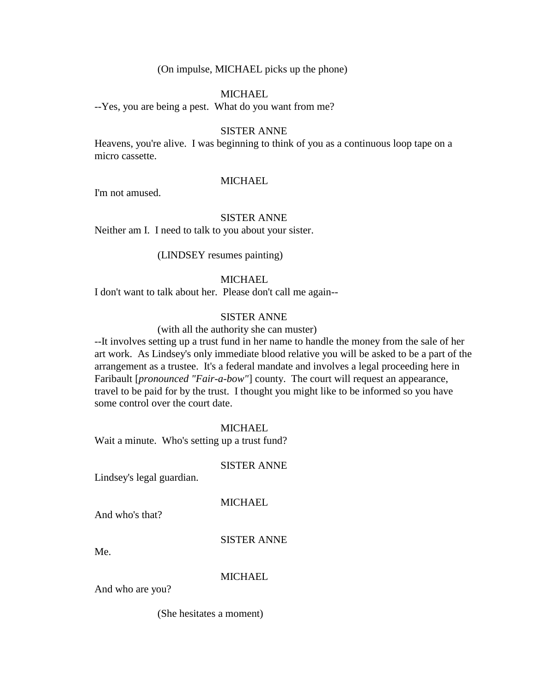(On impulse, MICHAEL picks up the phone)

### **MICHAEL**

--Yes, you are being a pest. What do you want from me?

## SISTER ANNE

Heavens, you're alive. I was beginning to think of you as a continuous loop tape on a micro cassette.

#### MICHAEL

I'm not amused.

### SISTER ANNE

Neither am I. I need to talk to you about your sister.

(LINDSEY resumes painting)

### MICHAEL

I don't want to talk about her. Please don't call me again--

## SISTER ANNE

(with all the authority she can muster)

--It involves setting up a trust fund in her name to handle the money from the sale of her art work. As Lindsey's only immediate blood relative you will be asked to be a part of the arrangement as a trustee. It's a federal mandate and involves a legal proceeding here in Faribault [*pronounced "Fair-a-bow"*] county. The court will request an appearance, travel to be paid for by the trust. I thought you might like to be informed so you have some control over the court date.

### MICHAEL

Wait a minute. Who's setting up a trust fund?

#### SISTER ANNE

Lindsey's legal guardian.

## **MICHAEL**

And who's that?

## SISTER ANNE

Me.

## **MICHAEL**

And who are you?

(She hesitates a moment)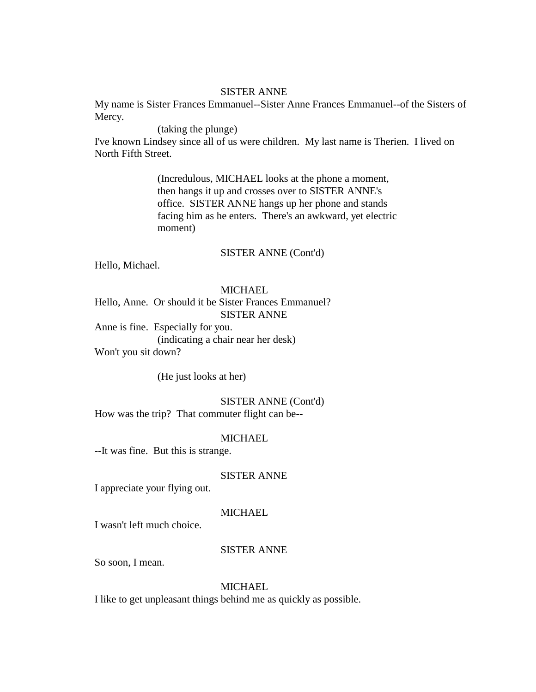My name is Sister Frances Emmanuel--Sister Anne Frances Emmanuel--of the Sisters of Mercy.

(taking the plunge)

I've known Lindsey since all of us were children. My last name is Therien. I lived on North Fifth Street.

> (Incredulous, MICHAEL looks at the phone a moment, then hangs it up and crosses over to SISTER ANNE's office. SISTER ANNE hangs up her phone and stands facing him as he enters. There's an awkward, yet electric moment)

#### SISTER ANNE (Cont'd)

Hello, Michael.

## MICHAEL

Hello, Anne. Or should it be Sister Frances Emmanuel? SISTER ANNE

Anne is fine. Especially for you. (indicating a chair near her desk) Won't you sit down?

(He just looks at her)

SISTER ANNE (Cont'd) How was the trip? That commuter flight can be--

## **MICHAEL**

--It was fine. But this is strange.

SISTER ANNE

I appreciate your flying out.

### MICHAEL

I wasn't left much choice.

### SISTER ANNE

So soon, I mean.

#### MICHAEL

I like to get unpleasant things behind me as quickly as possible.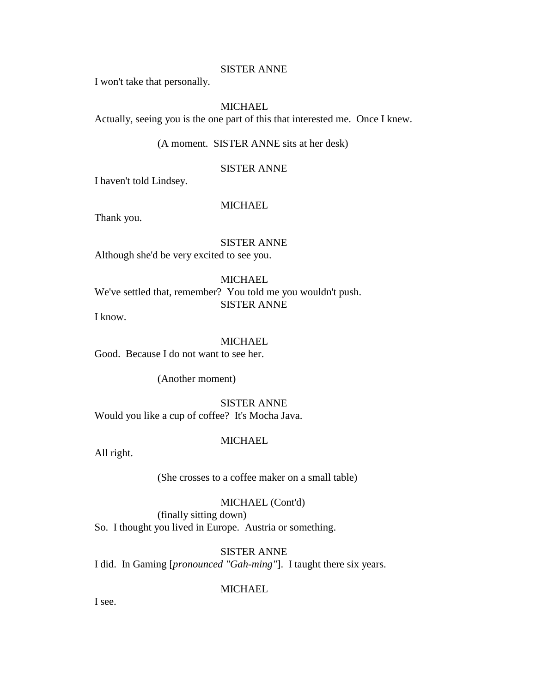I won't take that personally.

## MICHAEL

Actually, seeing you is the one part of this that interested me. Once I knew.

(A moment. SISTER ANNE sits at her desk)

## SISTER ANNE

I haven't told Lindsey.

#### MICHAEL

Thank you.

SISTER ANNE Although she'd be very excited to see you.

## MICHAEL We've settled that, remember? You told me you wouldn't push. SISTER ANNE

I know.

## **MICHAEL**

Good. Because I do not want to see her.

(Another moment)

SISTER ANNE Would you like a cup of coffee? It's Mocha Java.

## MICHAEL

All right.

(She crosses to a coffee maker on a small table)

## MICHAEL (Cont'd)

(finally sitting down) So. I thought you lived in Europe. Austria or something.

SISTER ANNE

I did. In Gaming [*pronounced "Gah-ming"*]. I taught there six years.

**MICHAEL** 

I see.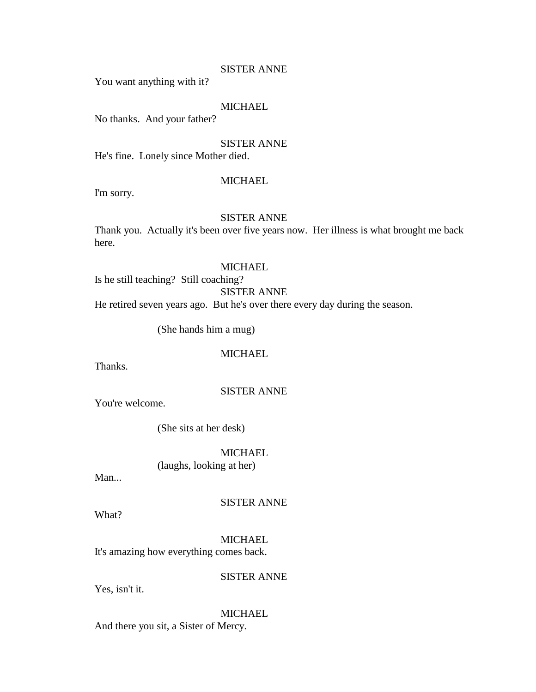You want anything with it?

## MICHAEL

No thanks. And your father?

#### SISTER ANNE

He's fine. Lonely since Mother died.

## MICHAEL

I'm sorry.

## SISTER ANNE

Thank you. Actually it's been over five years now. Her illness is what brought me back here.

## **MICHAEL**

Is he still teaching? Still coaching?

SISTER ANNE

He retired seven years ago. But he's over there every day during the season.

(She hands him a mug)

## **MICHAEL**

Thanks.

## SISTER ANNE

You're welcome.

(She sits at her desk)

## **MICHAEL**

(laughs, looking at her)

Man...

## SISTER ANNE

What?

MICHAEL It's amazing how everything comes back.

## SISTER ANNE

Yes, isn't it.

## **MICHAEL**

And there you sit, a Sister of Mercy.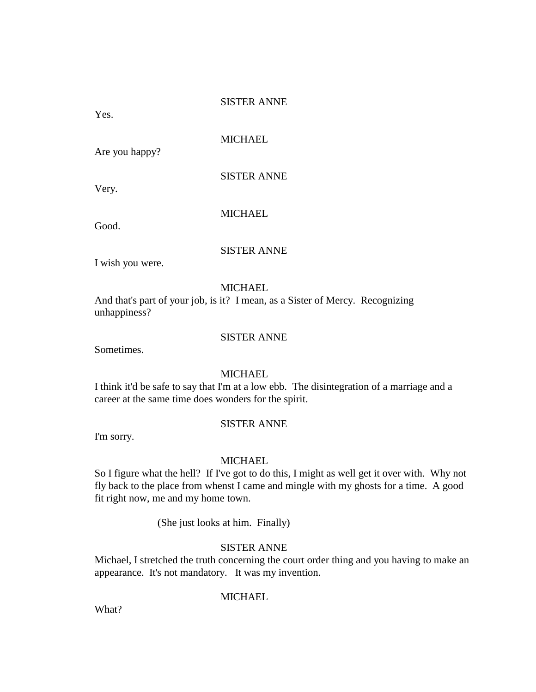Yes.

**MICHAEL** 

Are you happy?

SISTER ANNE

Very.

**MICHAEL** 

Good.

SISTER ANNE

I wish you were.

### **MICHAEL**

And that's part of your job, is it? I mean, as a Sister of Mercy. Recognizing unhappiness?

## SISTER ANNE

Sometimes.

## MICHAEL

I think it'd be safe to say that I'm at a low ebb. The disintegration of a marriage and a career at the same time does wonders for the spirit.

## SISTER ANNE

I'm sorry.

### MICHAEL

So I figure what the hell? If I've got to do this, I might as well get it over with. Why not fly back to the place from whenst I came and mingle with my ghosts for a time. A good fit right now, me and my home town.

(She just looks at him. Finally)

## SISTER ANNE

Michael, I stretched the truth concerning the court order thing and you having to make an appearance. It's not mandatory. It was my invention.

## **MICHAEL**

What?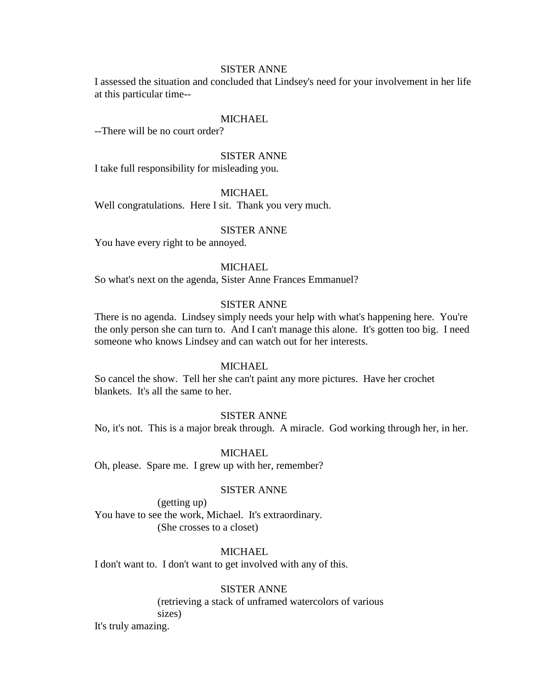I assessed the situation and concluded that Lindsey's need for your involvement in her life at this particular time--

#### MICHAEL

--There will be no court order?

## SISTER ANNE

I take full responsibility for misleading you.

## **MICHAEL**

Well congratulations. Here I sit. Thank you very much.

#### SISTER ANNE

You have every right to be annoyed.

## **MICHAEL**

So what's next on the agenda, Sister Anne Frances Emmanuel?

## SISTER ANNE

There is no agenda. Lindsey simply needs your help with what's happening here. You're the only person she can turn to. And I can't manage this alone. It's gotten too big. I need someone who knows Lindsey and can watch out for her interests.

#### **MICHAEL**

So cancel the show. Tell her she can't paint any more pictures. Have her crochet blankets. It's all the same to her.

### SISTER ANNE

No, it's not. This is a major break through. A miracle. God working through her, in her.

#### **MICHAEL**

Oh, please. Spare me. I grew up with her, remember?

## SISTER ANNE

(getting up) You have to see the work, Michael. It's extraordinary. (She crosses to a closet)

#### MICHAEL.

I don't want to. I don't want to get involved with any of this.

#### SISTER ANNE

(retrieving a stack of unframed watercolors of various sizes)

It's truly amazing.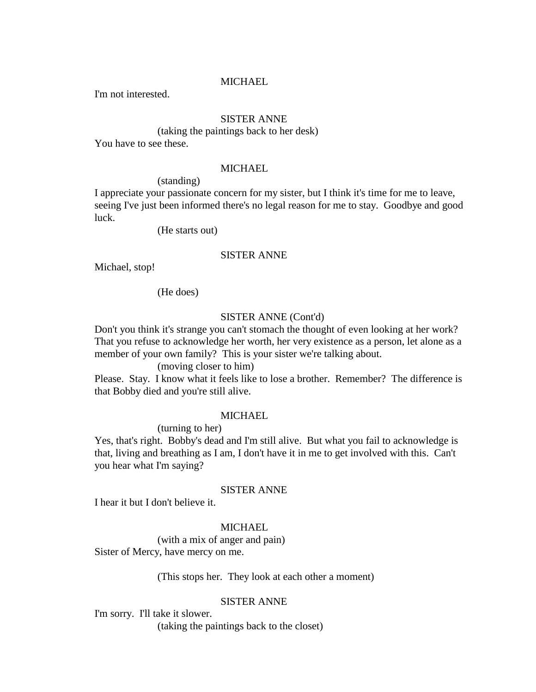## MICHAEL

I'm not interested.

## SISTER ANNE

(taking the paintings back to her desk) You have to see these.

#### **MICHAEL**

(standing)

I appreciate your passionate concern for my sister, but I think it's time for me to leave, seeing I've just been informed there's no legal reason for me to stay. Goodbye and good luck.

(He starts out)

## SISTER ANNE

Michael, stop!

(He does)

## SISTER ANNE (Cont'd)

Don't you think it's strange you can't stomach the thought of even looking at her work? That you refuse to acknowledge her worth, her very existence as a person, let alone as a member of your own family? This is your sister we're talking about.

## (moving closer to him)

Please. Stay. I know what it feels like to lose a brother. Remember? The difference is that Bobby died and you're still alive.

#### MICHAEL

(turning to her)

Yes, that's right. Bobby's dead and I'm still alive. But what you fail to acknowledge is that, living and breathing as I am, I don't have it in me to get involved with this. Can't you hear what I'm saying?

## SISTER ANNE

I hear it but I don't believe it.

### MICHAEL

(with a mix of anger and pain) Sister of Mercy, have mercy on me.

(This stops her. They look at each other a moment)

## SISTER ANNE

I'm sorry. I'll take it slower.

(taking the paintings back to the closet)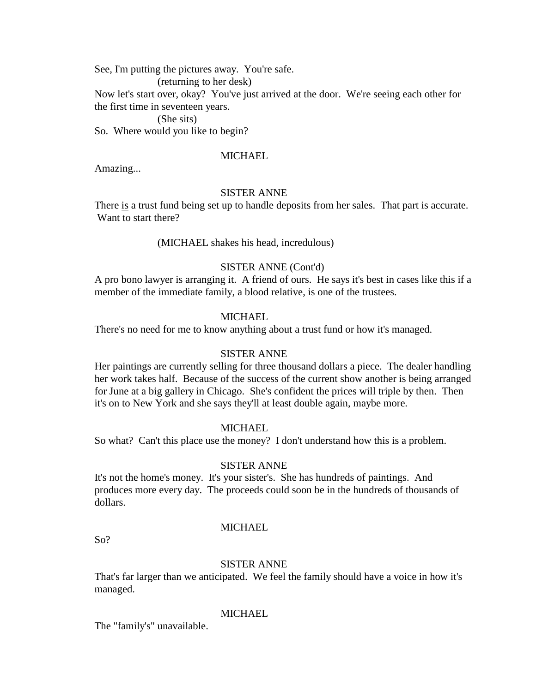See, I'm putting the pictures away. You're safe.

(returning to her desk)

Now let's start over, okay? You've just arrived at the door. We're seeing each other for the first time in seventeen years.

### (She sits)

So. Where would you like to begin?

## MICHAEL

Amazing...

## SISTER ANNE

There is a trust fund being set up to handle deposits from her sales. That part is accurate. Want to start there?

(MICHAEL shakes his head, incredulous)

## SISTER ANNE (Cont'd)

A pro bono lawyer is arranging it. A friend of ours. He says it's best in cases like this if a member of the immediate family, a blood relative, is one of the trustees.

## **MICHAEL**

There's no need for me to know anything about a trust fund or how it's managed.

## SISTER ANNE

Her paintings are currently selling for three thousand dollars a piece. The dealer handling her work takes half. Because of the success of the current show another is being arranged for June at a big gallery in Chicago. She's confident the prices will triple by then. Then it's on to New York and she says they'll at least double again, maybe more.

## MICHAEL

So what? Can't this place use the money? I don't understand how this is a problem.

## SISTER ANNE

It's not the home's money. It's your sister's. She has hundreds of paintings. And produces more every day. The proceeds could soon be in the hundreds of thousands of dollars.

## MICHAEL

So?

## SISTER ANNE

That's far larger than we anticipated. We feel the family should have a voice in how it's managed.

## MICHAEL

The "family's" unavailable.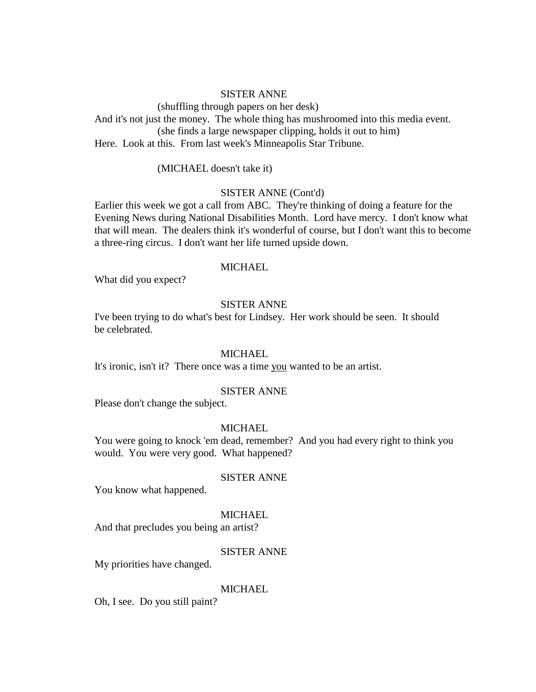(shuffling through papers on her desk) And it's not just the money. The whole thing has mushroomed into this media event. (she finds a large newspaper clipping, holds it out to him) Here. Look at this. From last week's Minneapolis Star Tribune.

(MICHAEL doesn't take it)

### SISTER ANNE (Cont'd)

Earlier this week we got a call from ABC. They're thinking of doing a feature for the Evening News during National Disabilities Month. Lord have mercy. I don't know what that will mean. The dealers think it's wonderful of course, but I don't want this to become a three-ring circus. I don't want her life turned upside down.

## MICHAEL

What did you expect?

## SISTER ANNE

I've been trying to do what's best for Lindsey. Her work should be seen. It should be celebrated.

#### MICHAEL.

It's ironic, isn't it? There once was a time you wanted to be an artist.

#### SISTER ANNE

Please don't change the subject.

## MICHAEL

You were going to knock 'em dead, remember? And you had every right to think you would. You were very good. What happened?

#### SISTER ANNE

You know what happened.

#### **MICHAEL**

And that precludes you being an artist?

#### SISTER ANNE

My priorities have changed.

#### MICHAEL

Oh, I see. Do you still paint?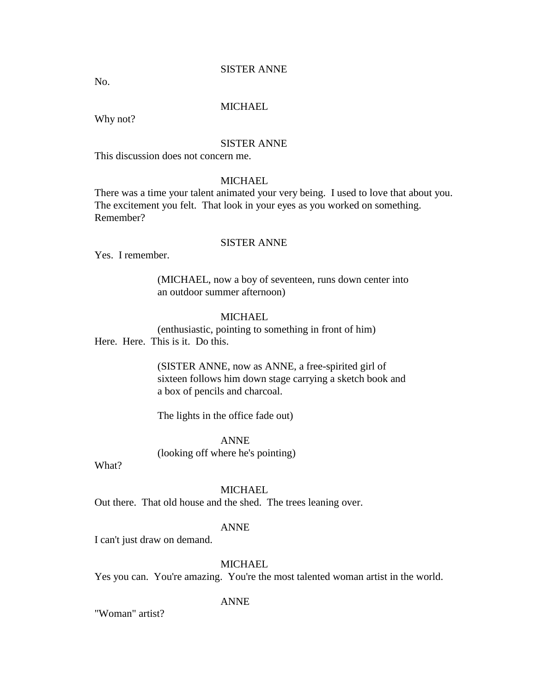No.

## MICHAEL

Why not?

### SISTER ANNE

This discussion does not concern me.

## **MICHAEL**

There was a time your talent animated your very being. I used to love that about you. The excitement you felt. That look in your eyes as you worked on something. Remember?

## SISTER ANNE

Yes. I remember.

(MICHAEL, now a boy of seventeen, runs down center into an outdoor summer afternoon)

## **MICHAEL**

(enthusiastic, pointing to something in front of him) Here. Here. This is it. Do this.

> (SISTER ANNE, now as ANNE, a free-spirited girl of sixteen follows him down stage carrying a sketch book and a box of pencils and charcoal.

The lights in the office fade out)

ANNE

(looking off where he's pointing)

What?

## MICHAEL

Out there. That old house and the shed. The trees leaning over.

#### ANNE

I can't just draw on demand.

## **MICHAEL**

Yes you can. You're amazing. You're the most talented woman artist in the world.

## ANNE

"Woman" artist?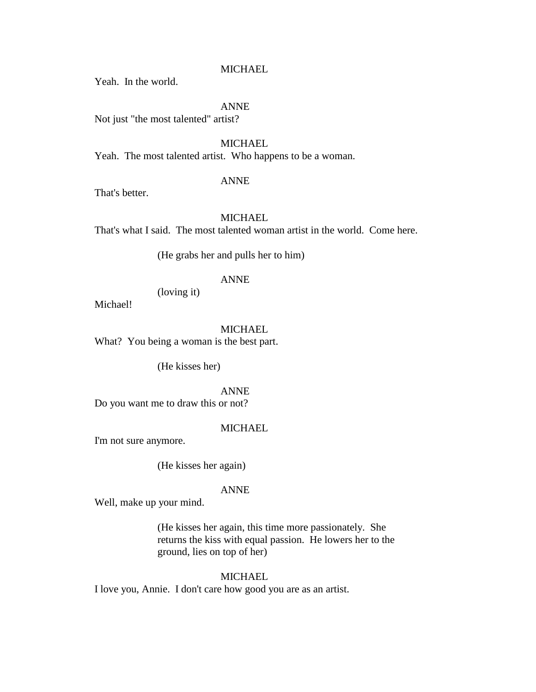### **MICHAEL**

Yeah. In the world.

## ANNE

Not just "the most talented" artist?

## MICHAEL

Yeah. The most talented artist. Who happens to be a woman.

### ANNE

That's better.

## MICHAEL

That's what I said. The most talented woman artist in the world. Come here.

(He grabs her and pulls her to him)

## ANNE

(loving it)

Michael!

MICHAEL

What? You being a woman is the best part.

(He kisses her)

## ANNE

Do you want me to draw this or not?

## MICHAEL

I'm not sure anymore.

(He kisses her again)

## ANNE

Well, make up your mind.

(He kisses her again, this time more passionately. She returns the kiss with equal passion. He lowers her to the ground, lies on top of her)

## **MICHAEL**

I love you, Annie. I don't care how good you are as an artist.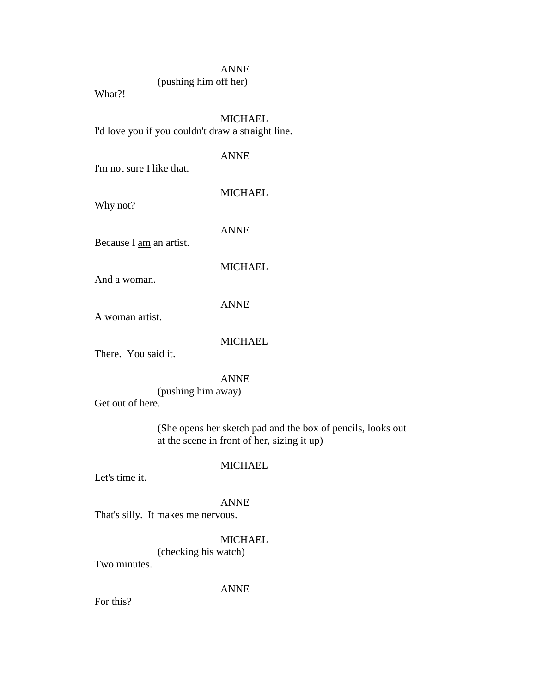(pushing him off her)

What?!

## MICHAEL

I'd love you if you couldn't draw a straight line.

## ANNE

I'm not sure I like that.

## **MICHAEL**

Why not?

ANNE

Because I am an artist.

## **MICHAEL**

And a woman.

## ANNE

A woman artist.

## **MICHAEL**

There. You said it.

## ANNE

(pushing him away) Get out of here.

(She opens her sketch pad and the box of pencils, looks out at the scene in front of her, sizing it up)

## MICHAEL

Let's time it.

## ANNE

That's silly. It makes me nervous.

## **MICHAEL**

(checking his watch)

Two minutes.

## ANNE

For this?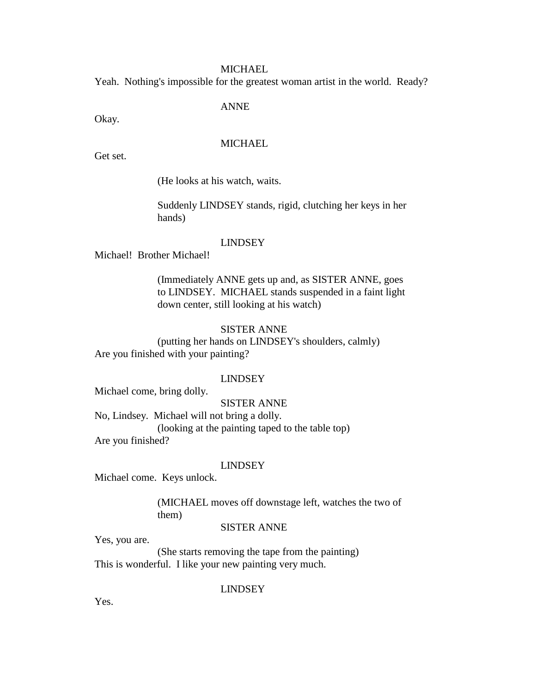#### **MICHAEL**

Yeah. Nothing's impossible for the greatest woman artist in the world. Ready?

#### ANNE

Okay.

## **MICHAEL**

Get set.

(He looks at his watch, waits.

Suddenly LINDSEY stands, rigid, clutching her keys in her hands)

#### LINDSEY

Michael! Brother Michael!

(Immediately ANNE gets up and, as SISTER ANNE, goes to LINDSEY. MICHAEL stands suspended in a faint light down center, still looking at his watch)

#### SISTER ANNE

(putting her hands on LINDSEY's shoulders, calmly) Are you finished with your painting?

#### LINDSEY

Michael come, bring dolly.

SISTER ANNE

No, Lindsey. Michael will not bring a dolly.

(looking at the painting taped to the table top) Are you finished?

#### LINDSEY

Michael come. Keys unlock.

(MICHAEL moves off downstage left, watches the two of them)

### SISTER ANNE

Yes, you are.

(She starts removing the tape from the painting) This is wonderful. I like your new painting very much.

LINDSEY

Yes.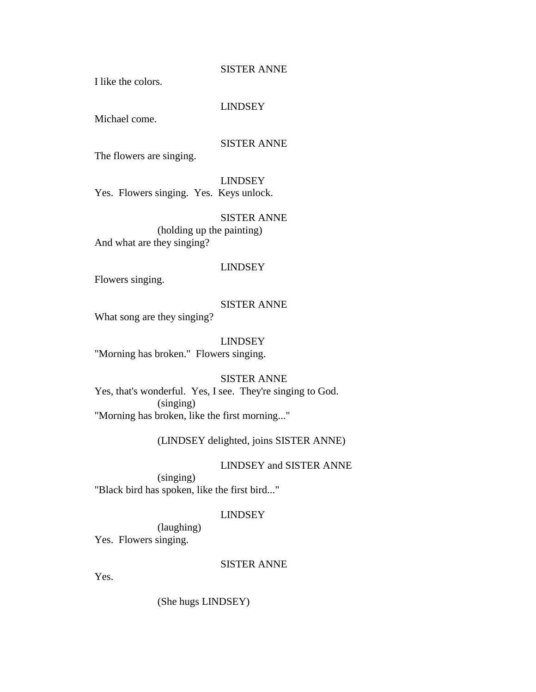I like the colors.

## LINDSEY

Michael come.

## SISTER ANNE

The flowers are singing.

## LINDSEY

Yes. Flowers singing. Yes. Keys unlock.

## SISTER ANNE

(holding up the painting) And what are they singing?

#### LINDSEY

Flowers singing.

## SISTER ANNE

What song are they singing?

## LINDSEY

"Morning has broken." Flowers singing.

## SISTER ANNE

Yes, that's wonderful. Yes, I see. They're singing to God. (singing) "Morning has broken, like the first morning..."

## (LINDSEY delighted, joins SISTER ANNE)

#### LINDSEY and SISTER ANNE

(singing) "Black bird has spoken, like the first bird..."

## LINDSEY

(laughing) Yes. Flowers singing.

## SISTER ANNE

Yes.

(She hugs LINDSEY)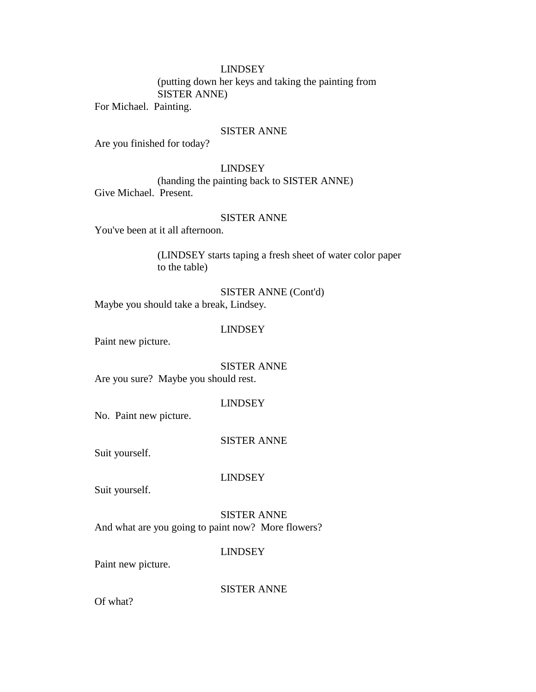## LINDSEY

(putting down her keys and taking the painting from SISTER ANNE)

For Michael. Painting.

## SISTER ANNE

Are you finished for today?

## LINDSEY

(handing the painting back to SISTER ANNE) Give Michael. Present.

## SISTER ANNE

You've been at it all afternoon.

(LINDSEY starts taping a fresh sheet of water color paper to the table)

SISTER ANNE (Cont'd) Maybe you should take a break, Lindsey.

### LINDSEY

Paint new picture.

SISTER ANNE

Are you sure? Maybe you should rest.

## LINDSEY

No. Paint new picture.

SISTER ANNE

Suit yourself.

LINDSEY

Suit yourself.

SISTER ANNE And what are you going to paint now? More flowers?

LINDSEY

Paint new picture.

SISTER ANNE

Of what?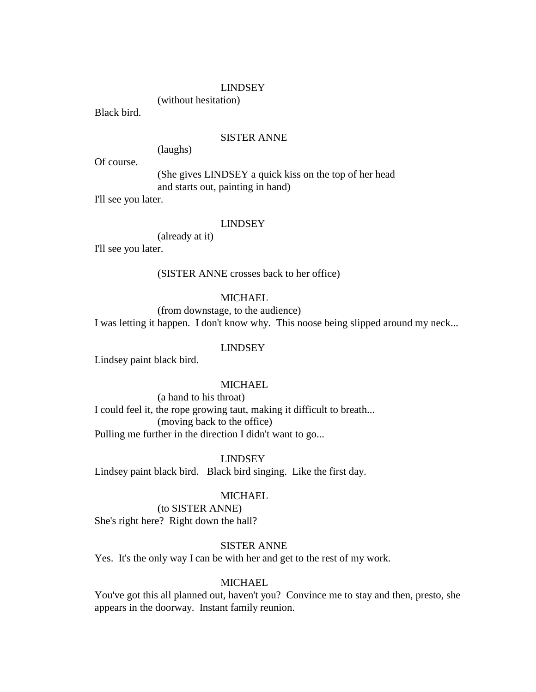#### LINDSEY

(without hesitation)

Black bird.

#### SISTER ANNE

(laughs)

Of course.

(She gives LINDSEY a quick kiss on the top of her head and starts out, painting in hand)

I'll see you later.

#### LINDSEY

(already at it)

I'll see you later.

(SISTER ANNE crosses back to her office)

### **MICHAEL**

(from downstage, to the audience) I was letting it happen. I don't know why. This noose being slipped around my neck...

## LINDSEY

Lindsey paint black bird.

## **MICHAEL**

(a hand to his throat)

I could feel it, the rope growing taut, making it difficult to breath... (moving back to the office) Pulling me further in the direction I didn't want to go...

LINDSEY

Lindsey paint black bird. Black bird singing. Like the first day.

#### **MICHAEL**

(to SISTER ANNE) She's right here? Right down the hall?

#### SISTER ANNE

Yes. It's the only way I can be with her and get to the rest of my work.

## MICHAEL

You've got this all planned out, haven't you? Convince me to stay and then, presto, she appears in the doorway. Instant family reunion.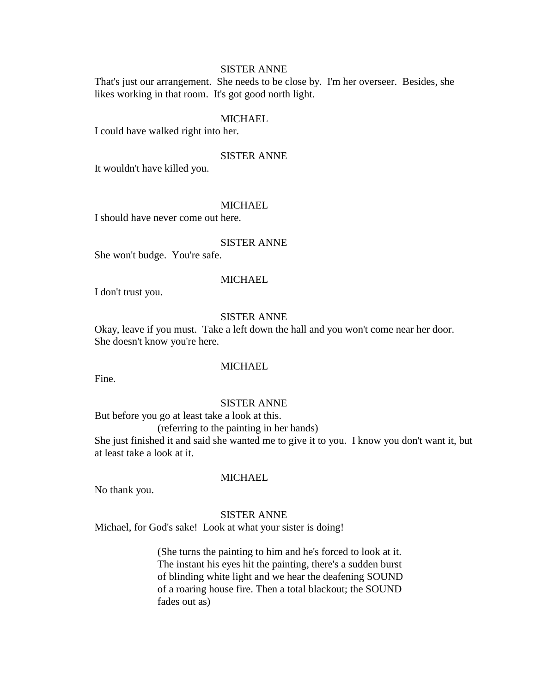That's just our arrangement. She needs to be close by. I'm her overseer. Besides, she likes working in that room. It's got good north light.

#### MICHAEL

I could have walked right into her.

## SISTER ANNE

It wouldn't have killed you.

#### **MICHAEL**

I should have never come out here.

#### SISTER ANNE

She won't budge. You're safe.

#### MICHAEL

I don't trust you.

### SISTER ANNE

Okay, leave if you must. Take a left down the hall and you won't come near her door. She doesn't know you're here.

### **MICHAEL**

Fine.

#### SISTER ANNE

But before you go at least take a look at this.

(referring to the painting in her hands)

She just finished it and said she wanted me to give it to you. I know you don't want it, but at least take a look at it.

#### MICHAEL

No thank you.

#### SISTER ANNE

Michael, for God's sake! Look at what your sister is doing!

(She turns the painting to him and he's forced to look at it. The instant his eyes hit the painting, there's a sudden burst of blinding white light and we hear the deafening SOUND of a roaring house fire. Then a total blackout; the SOUND fades out as)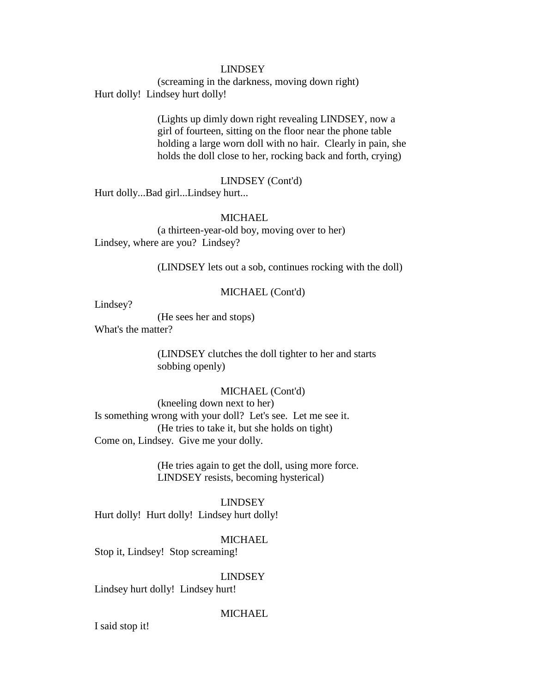### LINDSEY

(screaming in the darkness, moving down right) Hurt dolly! Lindsey hurt dolly!

> (Lights up dimly down right revealing LINDSEY, now a girl of fourteen, sitting on the floor near the phone table holding a large worn doll with no hair. Clearly in pain, she holds the doll close to her, rocking back and forth, crying)

## LINDSEY (Cont'd)

Hurt dolly...Bad girl...Lindsey hurt...

## MICHAEL

(a thirteen-year-old boy, moving over to her) Lindsey, where are you? Lindsey?

(LINDSEY lets out a sob, continues rocking with the doll)

#### MICHAEL (Cont'd)

Lindsey?

(He sees her and stops)

What's the matter?

(LINDSEY clutches the doll tighter to her and starts sobbing openly)

## MICHAEL (Cont'd)

(kneeling down next to her) Is something wrong with your doll? Let's see. Let me see it. (He tries to take it, but she holds on tight) Come on, Lindsey. Give me your dolly.

> (He tries again to get the doll, using more force. LINDSEY resists, becoming hysterical)

## LINDSEY

Hurt dolly! Hurt dolly! Lindsey hurt dolly!

MICHAEL

Stop it, Lindsey! Stop screaming!

### LINDSEY

Lindsey hurt dolly! Lindsey hurt!

#### MICHAEL

I said stop it!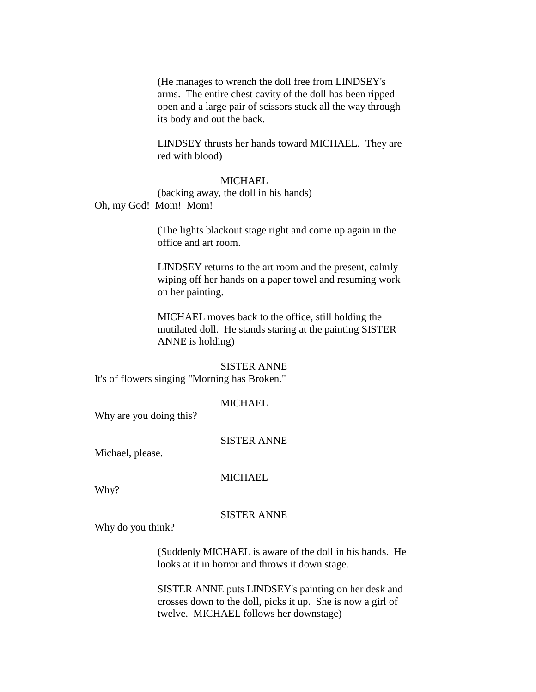(He manages to wrench the doll free from LINDSEY's arms. The entire chest cavity of the doll has been ripped open and a large pair of scissors stuck all the way through its body and out the back.

LINDSEY thrusts her hands toward MICHAEL. They are red with blood)

#### **MICHAEL**

(backing away, the doll in his hands) Oh, my God! Mom! Mom!

> (The lights blackout stage right and come up again in the office and art room.

LINDSEY returns to the art room and the present, calmly wiping off her hands on a paper towel and resuming work on her painting.

MICHAEL moves back to the office, still holding the mutilated doll. He stands staring at the painting SISTER ANNE is holding)

#### SISTER ANNE

It's of flowers singing "Morning has Broken."

#### **MICHAEL**

Why are you doing this?

#### SISTER ANNE

Michael, please.

#### MICHAEL

Why?

#### SISTER ANNE

Why do you think?

(Suddenly MICHAEL is aware of the doll in his hands. He looks at it in horror and throws it down stage.

SISTER ANNE puts LINDSEY's painting on her desk and crosses down to the doll, picks it up. She is now a girl of twelve. MICHAEL follows her downstage)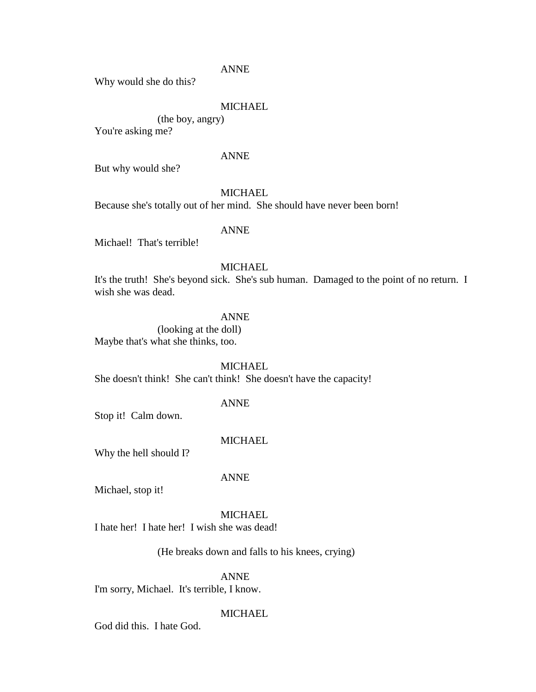Why would she do this?

## MICHAEL

(the boy, angry)

You're asking me?

## ANNE

But why would she?

## **MICHAEL**

Because she's totally out of her mind. She should have never been born!

### ANNE

Michael! That's terrible!

## **MICHAEL**

It's the truth! She's beyond sick. She's sub human. Damaged to the point of no return. I wish she was dead.

## ANNE

(looking at the doll) Maybe that's what she thinks, too.

### **MICHAEL**

She doesn't think! She can't think! She doesn't have the capacity!

#### ANNE

Stop it! Calm down.

### MICHAEL

Why the hell should I?

#### ANNE

Michael, stop it!

#### **MICHAEL**

I hate her! I hate her! I wish she was dead!

(He breaks down and falls to his knees, crying)

ANNE

I'm sorry, Michael. It's terrible, I know.

### **MICHAEL**

God did this. I hate God.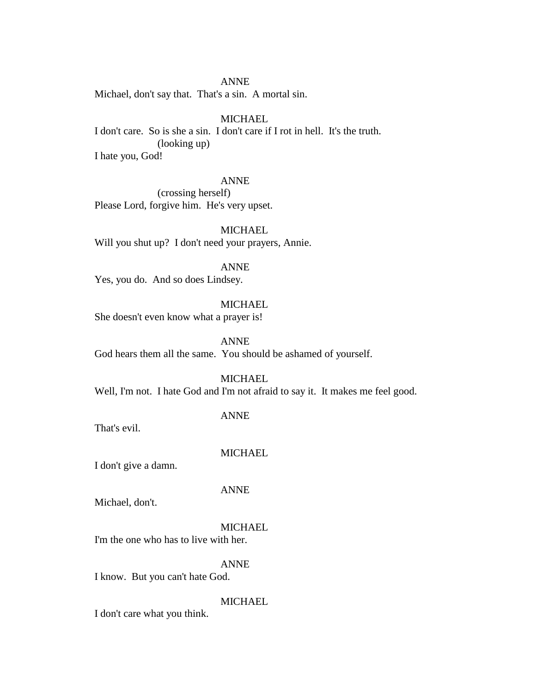Michael, don't say that. That's a sin. A mortal sin.

### MICHAEL

I don't care. So is she a sin. I don't care if I rot in hell. It's the truth. (looking up) I hate you, God!

#### ANNE

(crossing herself) Please Lord, forgive him. He's very upset.

MICHAEL Will you shut up? I don't need your prayers, Annie.

ANNE

Yes, you do. And so does Lindsey.

## **MICHAEL**

She doesn't even know what a prayer is!

ANNE God hears them all the same. You should be ashamed of yourself.

#### **MICHAEL**

Well, I'm not. I hate God and I'm not afraid to say it. It makes me feel good.

That's evil.

# **MICHAEL**

ANNE

I don't give a damn.

## ANNE

Michael, don't.

#### MICHAEL

I'm the one who has to live with her.

## ANNE

I know. But you can't hate God.

## MICHAEL

I don't care what you think.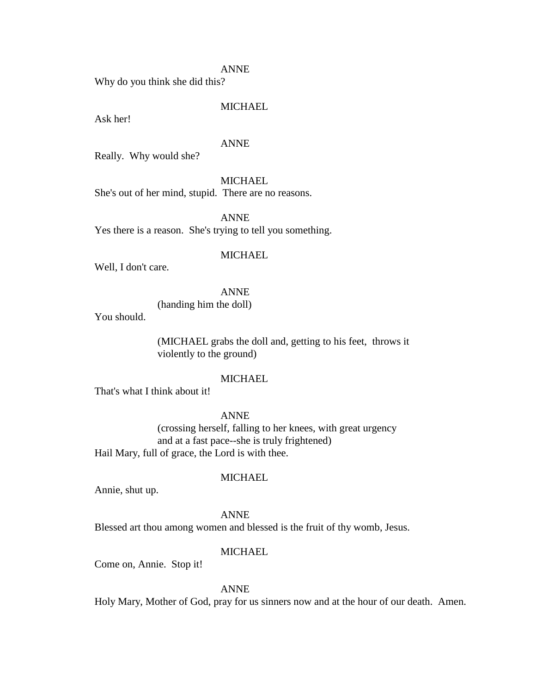Why do you think she did this?

## MICHAEL

Ask her!

#### ANNE

Really. Why would she?

#### **MICHAEL**

She's out of her mind, stupid. There are no reasons.

ANNE Yes there is a reason. She's trying to tell you something.

### **MICHAEL**

Well, I don't care.

### ANNE

(handing him the doll)

You should.

(MICHAEL grabs the doll and, getting to his feet, throws it violently to the ground)

### MICHAEL

That's what I think about it!

ANNE

(crossing herself, falling to her knees, with great urgency and at a fast pace--she is truly frightened) Hail Mary, full of grace, the Lord is with thee.

#### MICHAEL

Annie, shut up.

ANNE Blessed art thou among women and blessed is the fruit of thy womb, Jesus.

#### **MICHAEL**

Come on, Annie. Stop it!

ANNE

Holy Mary, Mother of God, pray for us sinners now and at the hour of our death. Amen.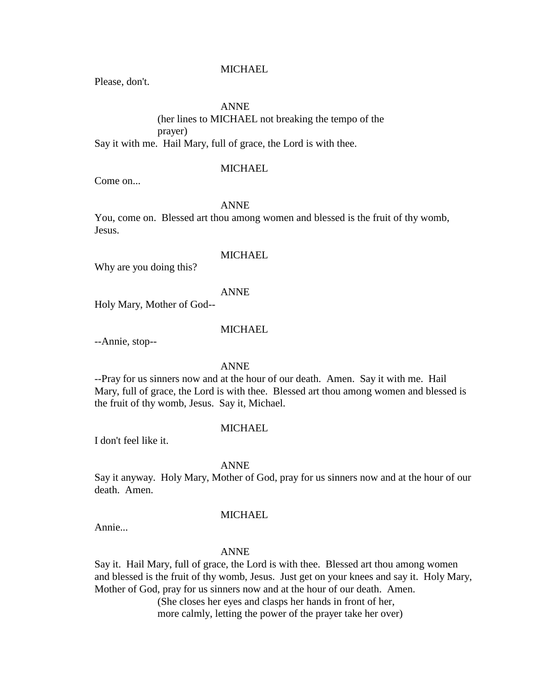### MICHAEL

Please, don't.

### ANNE

(her lines to MICHAEL not breaking the tempo of the prayer) Say it with me. Hail Mary, full of grace, the Lord is with thee.

## **MICHAEL**

Come on...

## ANNE

You, come on. Blessed art thou among women and blessed is the fruit of thy womb, Jesus.

## **MICHAEL**

Why are you doing this?

#### ANNE

Holy Mary, Mother of God--

### MICHAEL

--Annie, stop--

#### ANNE

--Pray for us sinners now and at the hour of our death. Amen. Say it with me. Hail Mary, full of grace, the Lord is with thee. Blessed art thou among women and blessed is the fruit of thy womb, Jesus. Say it, Michael.

## **MICHAEL**

I don't feel like it.

#### ANNE

Say it anyway. Holy Mary, Mother of God, pray for us sinners now and at the hour of our death. Amen.

#### MICHAEL

Annie...

#### ANNE

Say it. Hail Mary, full of grace, the Lord is with thee. Blessed art thou among women and blessed is the fruit of thy womb, Jesus. Just get on your knees and say it. Holy Mary, Mother of God, pray for us sinners now and at the hour of our death. Amen.

(She closes her eyes and clasps her hands in front of her,

more calmly, letting the power of the prayer take her over)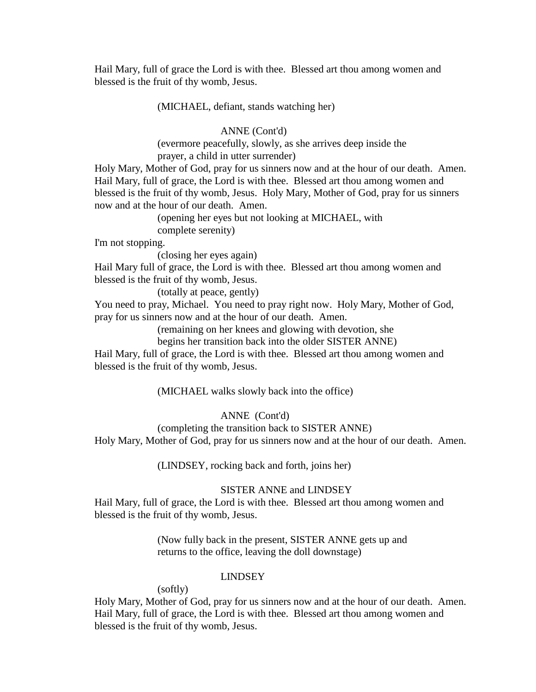Hail Mary, full of grace the Lord is with thee. Blessed art thou among women and blessed is the fruit of thy womb, Jesus.

(MICHAEL, defiant, stands watching her)

### ANNE (Cont'd)

(evermore peacefully, slowly, as she arrives deep inside the prayer, a child in utter surrender)

Holy Mary, Mother of God, pray for us sinners now and at the hour of our death. Amen. Hail Mary, full of grace, the Lord is with thee. Blessed art thou among women and blessed is the fruit of thy womb, Jesus. Holy Mary, Mother of God, pray for us sinners now and at the hour of our death. Amen.

(opening her eyes but not looking at MICHAEL, with

complete serenity)

I'm not stopping.

(closing her eyes again)

Hail Mary full of grace, the Lord is with thee. Blessed art thou among women and blessed is the fruit of thy womb, Jesus.

(totally at peace, gently)

You need to pray, Michael. You need to pray right now. Holy Mary, Mother of God, pray for us sinners now and at the hour of our death. Amen.

(remaining on her knees and glowing with devotion, she

begins her transition back into the older SISTER ANNE)

Hail Mary, full of grace, the Lord is with thee. Blessed art thou among women and blessed is the fruit of thy womb, Jesus.

(MICHAEL walks slowly back into the office)

ANNE (Cont'd)

(completing the transition back to SISTER ANNE)

Holy Mary, Mother of God, pray for us sinners now and at the hour of our death. Amen.

(LINDSEY, rocking back and forth, joins her)

## SISTER ANNE and LINDSEY

Hail Mary, full of grace, the Lord is with thee. Blessed art thou among women and blessed is the fruit of thy womb, Jesus.

> (Now fully back in the present, SISTER ANNE gets up and returns to the office, leaving the doll downstage)

## LINDSEY

(softly)

Holy Mary, Mother of God, pray for us sinners now and at the hour of our death. Amen. Hail Mary, full of grace, the Lord is with thee. Blessed art thou among women and blessed is the fruit of thy womb, Jesus.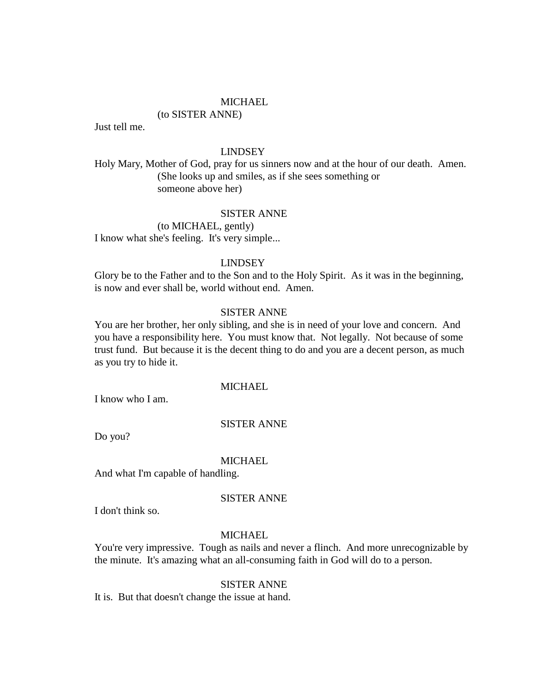(to SISTER ANNE)

Just tell me.

# LINDSEY

Holy Mary, Mother of God, pray for us sinners now and at the hour of our death. Amen. (She looks up and smiles, as if she sees something or someone above her)

### SISTER ANNE

(to MICHAEL, gently) I know what she's feeling. It's very simple...

#### LINDSEY

Glory be to the Father and to the Son and to the Holy Spirit. As it was in the beginning, is now and ever shall be, world without end. Amen.

# SISTER ANNE

You are her brother, her only sibling, and she is in need of your love and concern. And you have a responsibility here. You must know that. Not legally. Not because of some trust fund. But because it is the decent thing to do and you are a decent person, as much as you try to hide it.

### MICHAEL.

I know who I am.

# SISTER ANNE

Do you?

#### MICHAEL

And what I'm capable of handling.

### SISTER ANNE

I don't think so.

### MICHAEL

You're very impressive. Tough as nails and never a flinch. And more unrecognizable by the minute. It's amazing what an all-consuming faith in God will do to a person.

#### SISTER ANNE

It is. But that doesn't change the issue at hand.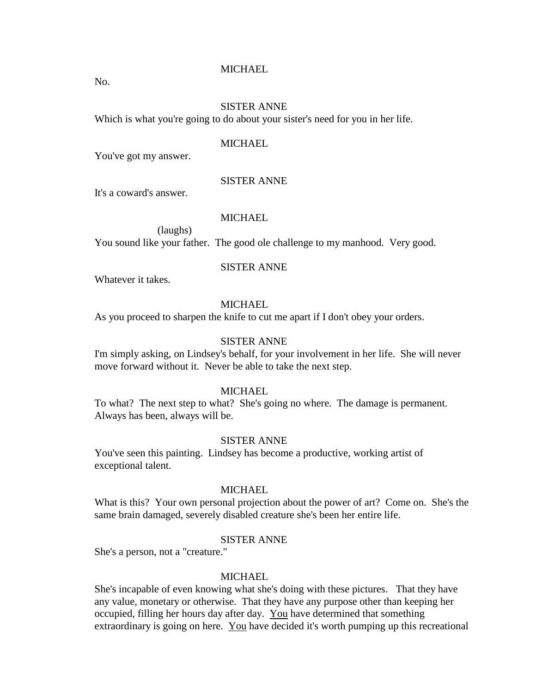No.

# SISTER ANNE

Which is what you're going to do about your sister's need for you in her life.

#### **MICHAEL**

You've got my answer.

### SISTER ANNE

It's a coward's answer.

### **MICHAEL**

(laughs)

You sound like your father. The good ole challenge to my manhood. Very good.

#### SISTER ANNE

Whatever it takes.

# MICHAEL

As you proceed to sharpen the knife to cut me apart if I don't obey your orders.

# SISTER ANNE

I'm simply asking, on Lindsey's behalf, for your involvement in her life. She will never move forward without it. Never be able to take the next step.

### MICHAEL

To what? The next step to what? She's going no where. The damage is permanent. Always has been, always will be.

### SISTER ANNE

You've seen this painting. Lindsey has become a productive, working artist of exceptional talent.

# **MICHAEL**

What is this? Your own personal projection about the power of art? Come on. She's the same brain damaged, severely disabled creature she's been her entire life.

# SISTER ANNE

She's a person, not a "creature."

# **MICHAEL**

She's incapable of even knowing what she's doing with these pictures. That they have any value, monetary or otherwise. That they have any purpose other than keeping her occupied, filling her hours day after day. You have determined that something extraordinary is going on here. You have decided it's worth pumping up this recreational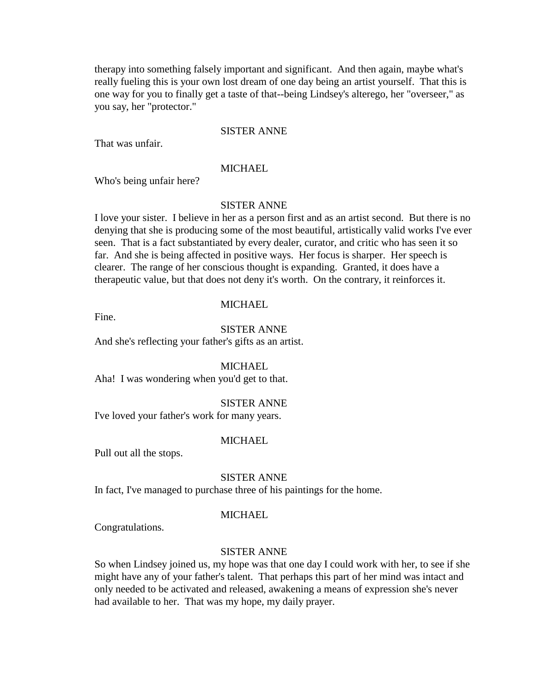therapy into something falsely important and significant. And then again, maybe what's really fueling this is your own lost dream of one day being an artist yourself. That this is one way for you to finally get a taste of that--being Lindsey's alterego, her "overseer," as you say, her "protector."

### SISTER ANNE

That was unfair.

### **MICHAEL**

Who's being unfair here?

### SISTER ANNE

I love your sister. I believe in her as a person first and as an artist second. But there is no denying that she is producing some of the most beautiful, artistically valid works I've ever seen. That is a fact substantiated by every dealer, curator, and critic who has seen it so far. And she is being affected in positive ways. Her focus is sharper. Her speech is clearer. The range of her conscious thought is expanding. Granted, it does have a therapeutic value, but that does not deny it's worth. On the contrary, it reinforces it.

### MICHAEL

Fine.

# SISTER ANNE

And she's reflecting your father's gifts as an artist.

### **MICHAEL**

Aha! I was wondering when you'd get to that.

#### SISTER ANNE

I've loved your father's work for many years.

#### **MICHAEL**

Pull out all the stops.

### SISTER ANNE

In fact, I've managed to purchase three of his paintings for the home.

#### MICHAEL

Congratulations.

#### SISTER ANNE

So when Lindsey joined us, my hope was that one day I could work with her, to see if she might have any of your father's talent. That perhaps this part of her mind was intact and only needed to be activated and released, awakening a means of expression she's never had available to her. That was my hope, my daily prayer.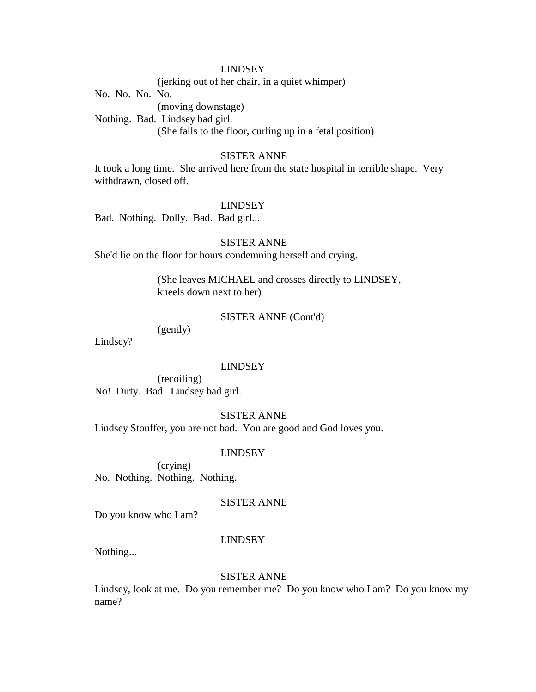(jerking out of her chair, in a quiet whimper)

No. No. No. No.

(moving downstage)

Nothing. Bad. Lindsey bad girl. (She falls to the floor, curling up in a fetal position)

# SISTER ANNE

It took a long time. She arrived here from the state hospital in terrible shape. Very withdrawn, closed off.

#### LINDSEY

Bad. Nothing. Dolly. Bad. Bad girl...

### SISTER ANNE

She'd lie on the floor for hours condemning herself and crying.

(She leaves MICHAEL and crosses directly to LINDSEY, kneels down next to her)

### SISTER ANNE (Cont'd)

(gently)

Lindsey?

### LINDSEY

(recoiling) No! Dirty. Bad. Lindsey bad girl.

SISTER ANNE

Lindsey Stouffer, you are not bad. You are good and God loves you.

### LINDSEY

(crying) No. Nothing. Nothing. Nothing.

# SISTER ANNE

Do you know who I am?

### LINDSEY

Nothing...

### SISTER ANNE

Lindsey, look at me. Do you remember me? Do you know who I am? Do you know my name?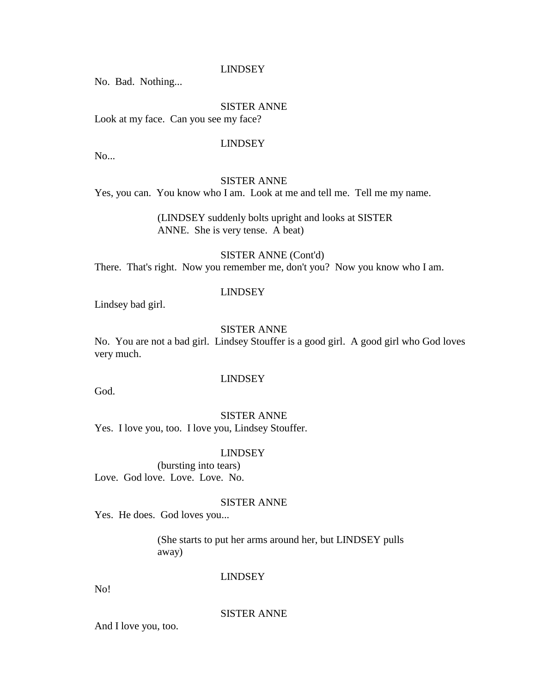No. Bad. Nothing...

# SISTER ANNE

Look at my face. Can you see my face?

### LINDSEY

No...

# SISTER ANNE

Yes, you can. You know who I am. Look at me and tell me. Tell me my name.

(LINDSEY suddenly bolts upright and looks at SISTER ANNE. She is very tense. A beat)

SISTER ANNE (Cont'd) There. That's right. Now you remember me, don't you? Now you know who I am.

### LINDSEY

Lindsey bad girl.

### SISTER ANNE

No. You are not a bad girl. Lindsey Stouffer is a good girl. A good girl who God loves very much.

#### LINDSEY

God.

#### SISTER ANNE

Yes. I love you, too. I love you, Lindsey Stouffer.

#### LINDSEY

(bursting into tears) Love. God love. Love. Love. No.

### SISTER ANNE

Yes. He does. God loves you...

(She starts to put her arms around her, but LINDSEY pulls away)

# LINDSEY

No!

#### SISTER ANNE

And I love you, too.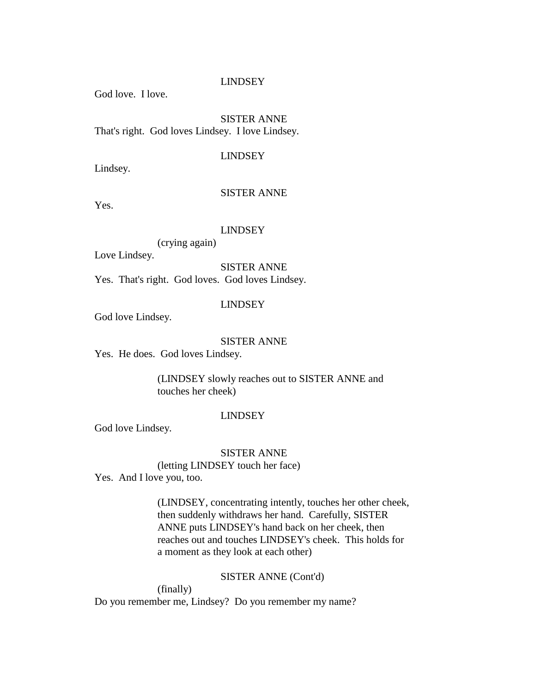God love. I love.

SISTER ANNE That's right. God loves Lindsey. I love Lindsey.

# LINDSEY

Lindsey.

# SISTER ANNE

Yes.

# LINDSEY

(crying again)

Love Lindsey.

SISTER ANNE

Yes. That's right. God loves. God loves Lindsey.

# LINDSEY

God love Lindsey.

# SISTER ANNE

Yes. He does. God loves Lindsey.

(LINDSEY slowly reaches out to SISTER ANNE and touches her cheek)

### LINDSEY

God love Lindsey.

# SISTER ANNE

(letting LINDSEY touch her face)

Yes. And I love you, too.

(LINDSEY, concentrating intently, touches her other cheek, then suddenly withdraws her hand. Carefully, SISTER ANNE puts LINDSEY's hand back on her cheek, then reaches out and touches LINDSEY's cheek. This holds for a moment as they look at each other)

### SISTER ANNE (Cont'd)

(finally) Do you remember me, Lindsey? Do you remember my name?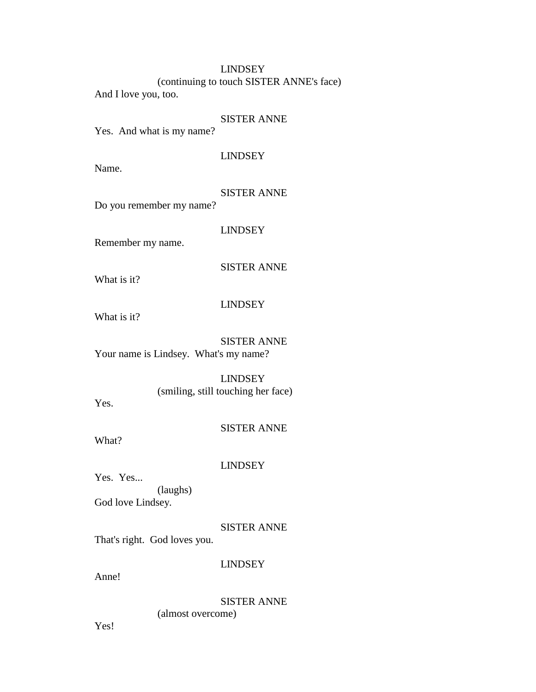(continuing to touch SISTER ANNE's face)

And I love you, too.

### SISTER ANNE

Yes. And what is my name?

# LINDSEY

Name.

# SISTER ANNE

Do you remember my name?

LINDSEY

Remember my name.

SISTER ANNE

What is it?

# LINDSEY

What is it?

# SISTER ANNE

Your name is Lindsey. What's my name?

### LINDSEY

(smiling, still touching her face)

Yes.

# SISTER ANNE

What?

# LINDSEY

Yes. Yes... (laughs) God love Lindsey.

### SISTER ANNE

That's right. God loves you.

# LINDSEY

Anne!

# SISTER ANNE (almost overcome)

Yes!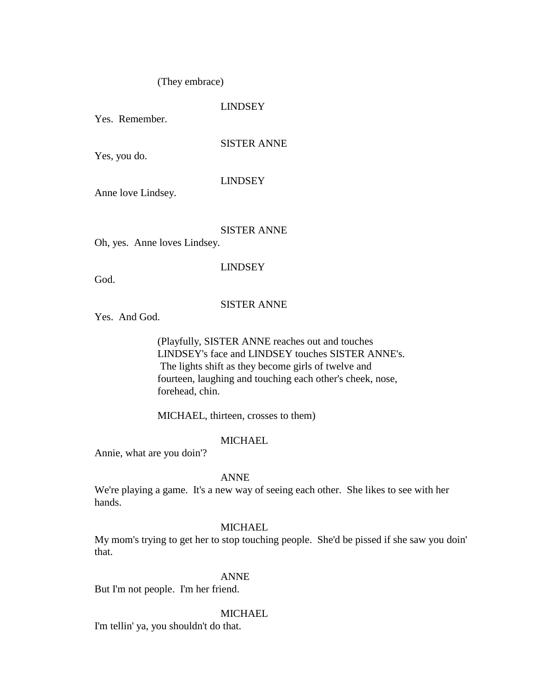# (They embrace)

# LINDSEY

Yes. Remember.

### SISTER ANNE

Yes, you do.

#### LINDSEY

Anne love Lindsey.

# SISTER ANNE

Oh, yes. Anne loves Lindsey.

### LINDSEY

God.

# SISTER ANNE

Yes. And God.

(Playfully, SISTER ANNE reaches out and touches LINDSEY's face and LINDSEY touches SISTER ANNE's. The lights shift as they become girls of twelve and fourteen, laughing and touching each other's cheek, nose, forehead, chin.

MICHAEL, thirteen, crosses to them)

# MICHAEL

Annie, what are you doin'?

### ANNE

We're playing a game. It's a new way of seeing each other. She likes to see with her hands.

### MICHAEL

My mom's trying to get her to stop touching people. She'd be pissed if she saw you doin' that.

### ANNE

But I'm not people. I'm her friend.

#### **MICHAEL**

I'm tellin' ya, you shouldn't do that.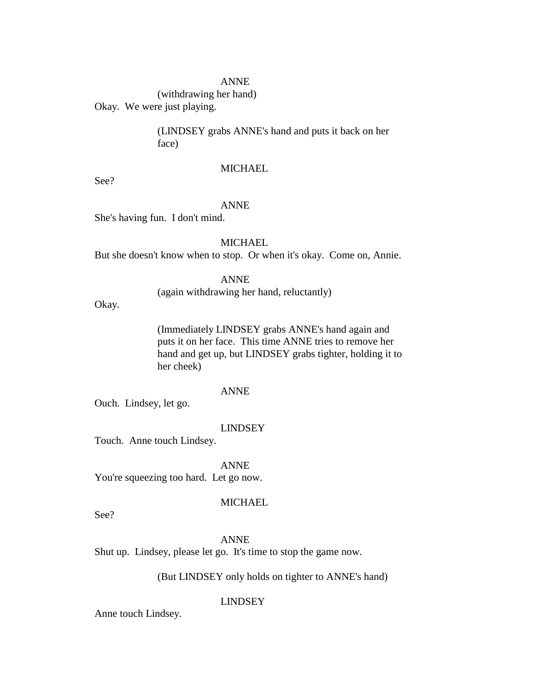(withdrawing her hand) Okay. We were just playing.

(LINDSEY grabs ANNE's hand and puts it back on her face)

# **MICHAEL**

See?

### ANNE

She's having fun. I don't mind.

MICHAEL.

But she doesn't know when to stop. Or when it's okay. Come on, Annie.

ANNE

(again withdrawing her hand, reluctantly)

Okay.

(Immediately LINDSEY grabs ANNE's hand again and puts it on her face. This time ANNE tries to remove her hand and get up, but LINDSEY grabs tighter, holding it to her cheek)

# ANNE

Ouch. Lindsey, let go.

### LINDSEY

Touch. Anne touch Lindsey.

ANNE

You're squeezing too hard. Let go now.

### **MICHAEL**

See?

ANNE

Shut up. Lindsey, please let go. It's time to stop the game now.

# (But LINDSEY only holds on tighter to ANNE's hand)

LINDSEY

Anne touch Lindsey.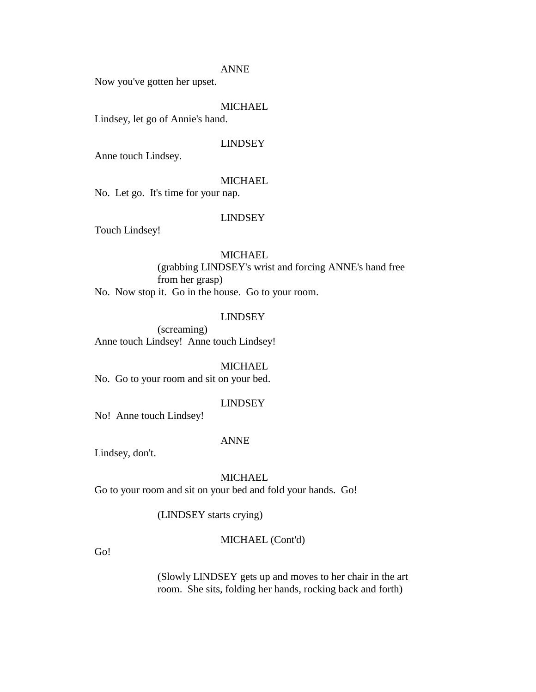Now you've gotten her upset.

# MICHAEL

Lindsey, let go of Annie's hand.

#### LINDSEY

Anne touch Lindsey.

### MICHAEL

No. Let go. It's time for your nap.

### LINDSEY

Touch Lindsey!

### **MICHAEL**

(grabbing LINDSEY's wrist and forcing ANNE's hand free from her grasp) No. Now stop it. Go in the house. Go to your room.

### LINDSEY

(screaming) Anne touch Lindsey! Anne touch Lindsey!

**MICHAEL** 

No. Go to your room and sit on your bed.

### LINDSEY

No! Anne touch Lindsey!

#### ANNE

Lindsey, don't.

### **MICHAEL**

Go to your room and sit on your bed and fold your hands. Go!

(LINDSEY starts crying)

### MICHAEL (Cont'd)

Go!

(Slowly LINDSEY gets up and moves to her chair in the art room. She sits, folding her hands, rocking back and forth)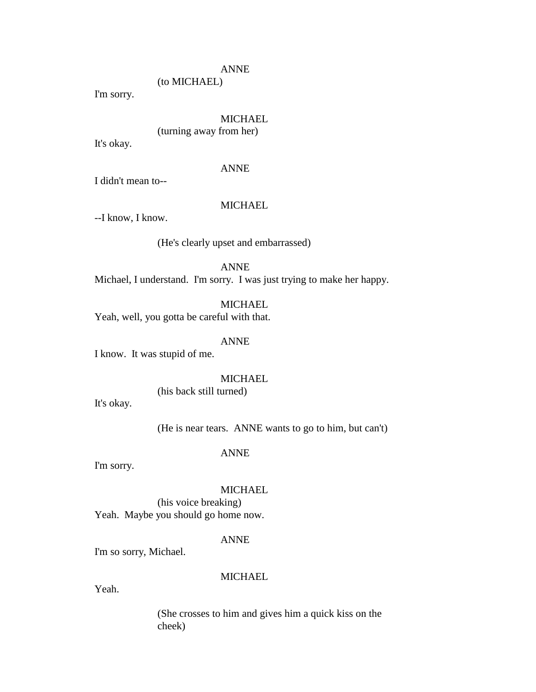(to MICHAEL)

I'm sorry.

# MICHAEL

(turning away from her)

It's okay.

# ANNE

I didn't mean to--

#### MICHAEL

--I know, I know.

# (He's clearly upset and embarrassed)

ANNE

Michael, I understand. I'm sorry. I was just trying to make her happy.

# **MICHAEL**

Yeah, well, you gotta be careful with that.

# ANNE

I know. It was stupid of me.

#### **MICHAEL**

(his back still turned)

It's okay.

(He is near tears. ANNE wants to go to him, but can't)

# ANNE

I'm sorry.

# MICHAEL

(his voice breaking) Yeah. Maybe you should go home now.

# ANNE

I'm so sorry, Michael.

# **MICHAEL**

Yeah.

(She crosses to him and gives him a quick kiss on the cheek)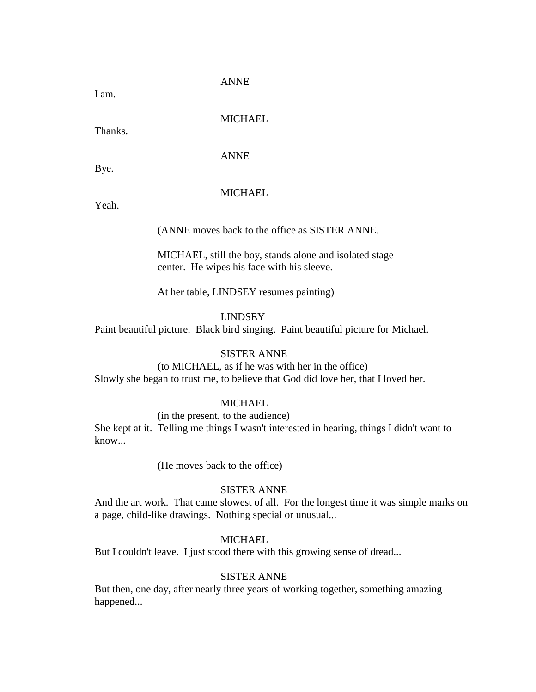I am.

# MICHAEL

Thanks.

ANNE

Bye.

# **MICHAEL**

Yeah.

(ANNE moves back to the office as SISTER ANNE.

MICHAEL, still the boy, stands alone and isolated stage center. He wipes his face with his sleeve.

At her table, LINDSEY resumes painting)

LINDSEY

Paint beautiful picture. Black bird singing. Paint beautiful picture for Michael.

### SISTER ANNE

(to MICHAEL, as if he was with her in the office) Slowly she began to trust me, to believe that God did love her, that I loved her.

# **MICHAEL**

(in the present, to the audience) She kept at it. Telling me things I wasn't interested in hearing, things I didn't want to know...

(He moves back to the office)

# SISTER ANNE

And the art work. That came slowest of all. For the longest time it was simple marks on a page, child-like drawings. Nothing special or unusual...

# **MICHAEL**

But I couldn't leave. I just stood there with this growing sense of dread...

# SISTER ANNE

But then, one day, after nearly three years of working together, something amazing happened...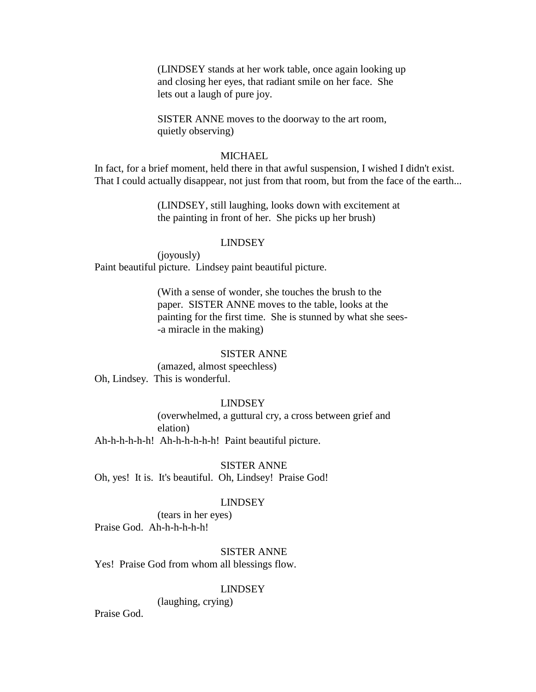(LINDSEY stands at her work table, once again looking up and closing her eyes, that radiant smile on her face. She lets out a laugh of pure joy.

SISTER ANNE moves to the doorway to the art room, quietly observing)

### **MICHAEL**

In fact, for a brief moment, held there in that awful suspension, I wished I didn't exist. That I could actually disappear, not just from that room, but from the face of the earth...

> (LINDSEY, still laughing, looks down with excitement at the painting in front of her. She picks up her brush)

### LINDSEY

(joyously) Paint beautiful picture. Lindsey paint beautiful picture.

> (With a sense of wonder, she touches the brush to the paper. SISTER ANNE moves to the table, looks at the painting for the first time. She is stunned by what she sees- -a miracle in the making)

#### SISTER ANNE

(amazed, almost speechless) Oh, Lindsey. This is wonderful.

#### LINDSEY

(overwhelmed, a guttural cry, a cross between grief and elation)

Ah-h-h-h-h-h! Ah-h-h-h-h-h! Paint beautiful picture.

SISTER ANNE Oh, yes! It is. It's beautiful. Oh, Lindsey! Praise God!

### LINDSEY

(tears in her eyes) Praise God. Ah-h-h-h-h-h!

### SISTER ANNE

Yes! Praise God from whom all blessings flow.

#### LINDSEY

(laughing, crying)

Praise God.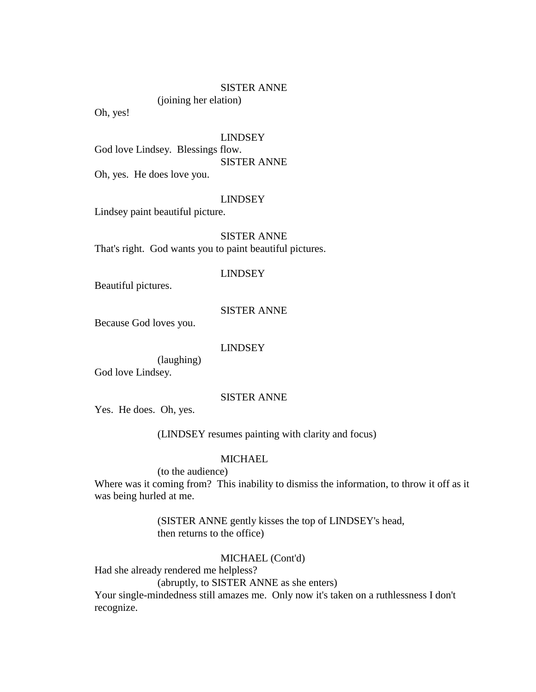### SISTER ANNE

(joining her elation)

Oh, yes!

#### LINDSEY

God love Lindsey. Blessings flow. SISTER ANNE Oh, yes. He does love you.

#### LINDSEY

Lindsey paint beautiful picture.

SISTER ANNE That's right. God wants you to paint beautiful pictures.

#### LINDSEY

Beautiful pictures.

### SISTER ANNE

Because God loves you.

### LINDSEY

(laughing) God love Lindsey.

### SISTER ANNE

Yes. He does. Oh, yes.

(LINDSEY resumes painting with clarity and focus)

### **MICHAEL**

(to the audience)

Where was it coming from? This inability to dismiss the information, to throw it off as it was being hurled at me.

> (SISTER ANNE gently kisses the top of LINDSEY's head, then returns to the office)

### MICHAEL (Cont'd)

Had she already rendered me helpless?

(abruptly, to SISTER ANNE as she enters)

Your single-mindedness still amazes me. Only now it's taken on a ruthlessness I don't recognize.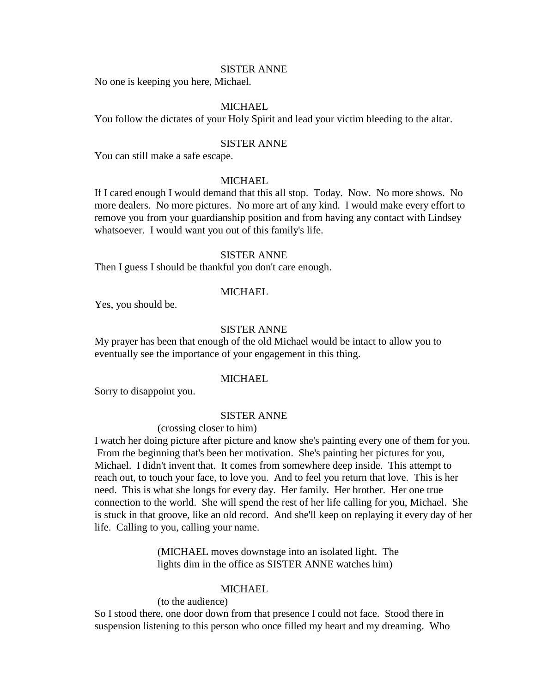#### SISTER ANNE

No one is keeping you here, Michael.

# MICHAEL

You follow the dictates of your Holy Spirit and lead your victim bleeding to the altar.

### SISTER ANNE

You can still make a safe escape.

#### **MICHAEL**

If I cared enough I would demand that this all stop. Today. Now. No more shows. No more dealers. No more pictures. No more art of any kind. I would make every effort to remove you from your guardianship position and from having any contact with Lindsey whatsoever. I would want you out of this family's life.

### SISTER ANNE

Then I guess I should be thankful you don't care enough.

### **MICHAEL**

Yes, you should be.

### SISTER ANNE

My prayer has been that enough of the old Michael would be intact to allow you to eventually see the importance of your engagement in this thing.

#### MICHAEL

Sorry to disappoint you.

#### SISTER ANNE

# (crossing closer to him)

I watch her doing picture after picture and know she's painting every one of them for you. From the beginning that's been her motivation. She's painting her pictures for you, Michael. I didn't invent that. It comes from somewhere deep inside. This attempt to reach out, to touch your face, to love you. And to feel you return that love. This is her need. This is what she longs for every day. Her family. Her brother. Her one true connection to the world. She will spend the rest of her life calling for you, Michael. She is stuck in that groove, like an old record. And she'll keep on replaying it every day of her life. Calling to you, calling your name.

> (MICHAEL moves downstage into an isolated light. The lights dim in the office as SISTER ANNE watches him)

### MICHAEL

### (to the audience)

So I stood there, one door down from that presence I could not face. Stood there in suspension listening to this person who once filled my heart and my dreaming. Who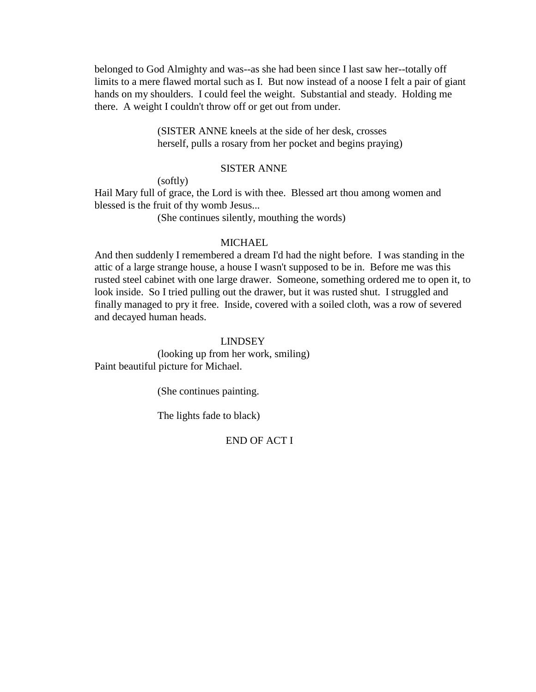belonged to God Almighty and was--as she had been since I last saw her--totally off limits to a mere flawed mortal such as I. But now instead of a noose I felt a pair of giant hands on my shoulders. I could feel the weight. Substantial and steady. Holding me there. A weight I couldn't throw off or get out from under.

> (SISTER ANNE kneels at the side of her desk, crosses herself, pulls a rosary from her pocket and begins praying)

### SISTER ANNE

(softly)

Hail Mary full of grace, the Lord is with thee. Blessed art thou among women and blessed is the fruit of thy womb Jesus...

(She continues silently, mouthing the words)

### MICHAEL.

And then suddenly I remembered a dream I'd had the night before. I was standing in the attic of a large strange house, a house I wasn't supposed to be in. Before me was this rusted steel cabinet with one large drawer. Someone, something ordered me to open it, to look inside. So I tried pulling out the drawer, but it was rusted shut. I struggled and finally managed to pry it free. Inside, covered with a soiled cloth, was a row of severed and decayed human heads.

### LINDSEY

(looking up from her work, smiling) Paint beautiful picture for Michael.

(She continues painting.

The lights fade to black)

# END OF ACT I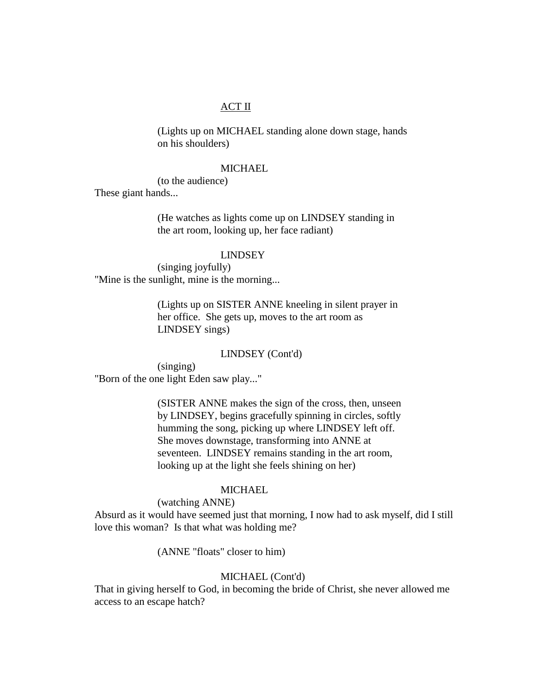# ACT II

(Lights up on MICHAEL standing alone down stage, hands on his shoulders)

### **MICHAEL**

(to the audience)

These giant hands...

(He watches as lights come up on LINDSEY standing in the art room, looking up, her face radiant)

### LINDSEY

(singing joyfully) "Mine is the sunlight, mine is the morning...

> (Lights up on SISTER ANNE kneeling in silent prayer in her office. She gets up, moves to the art room as LINDSEY sings)

### LINDSEY (Cont'd)

(singing) "Born of the one light Eden saw play..."

> (SISTER ANNE makes the sign of the cross, then, unseen by LINDSEY, begins gracefully spinning in circles, softly humming the song, picking up where LINDSEY left off. She moves downstage, transforming into ANNE at seventeen. LINDSEY remains standing in the art room, looking up at the light she feels shining on her)

# **MICHAEL**

(watching ANNE)

Absurd as it would have seemed just that morning, I now had to ask myself, did I still love this woman? Is that what was holding me?

(ANNE "floats" closer to him)

# MICHAEL (Cont'd)

That in giving herself to God, in becoming the bride of Christ, she never allowed me access to an escape hatch?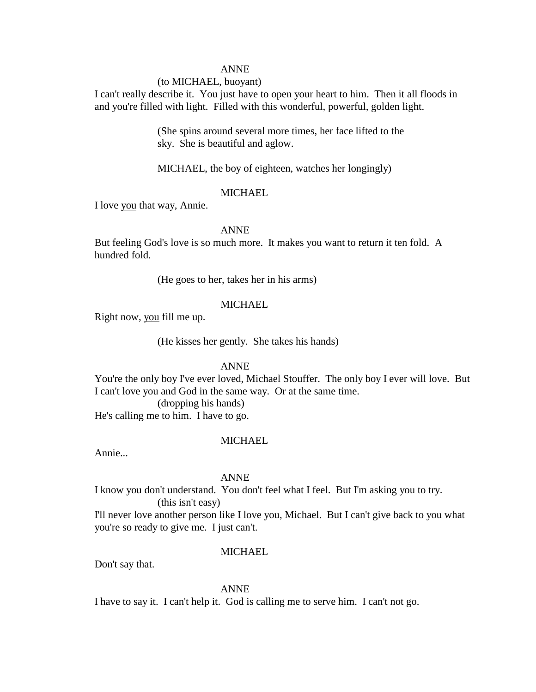### (to MICHAEL, buoyant)

I can't really describe it. You just have to open your heart to him. Then it all floods in and you're filled with light. Filled with this wonderful, powerful, golden light.

> (She spins around several more times, her face lifted to the sky. She is beautiful and aglow.

MICHAEL, the boy of eighteen, watches her longingly)

# **MICHAEL**

I love you that way, Annie.

# ANNE

But feeling God's love is so much more. It makes you want to return it ten fold. A hundred fold.

(He goes to her, takes her in his arms)

# MICHAEL.

Right now, you fill me up.

(He kisses her gently. She takes his hands)

### ANNE

You're the only boy I've ever loved, Michael Stouffer. The only boy I ever will love. But I can't love you and God in the same way. Or at the same time.

(dropping his hands) He's calling me to him. I have to go.

### MICHAEL

Annie...

#### ANNE

I know you don't understand. You don't feel what I feel. But I'm asking you to try. (this isn't easy)

I'll never love another person like I love you, Michael. But I can't give back to you what you're so ready to give me. I just can't.

#### MICHAEL.

Don't say that.

ANNE

I have to say it. I can't help it. God is calling me to serve him. I can't not go.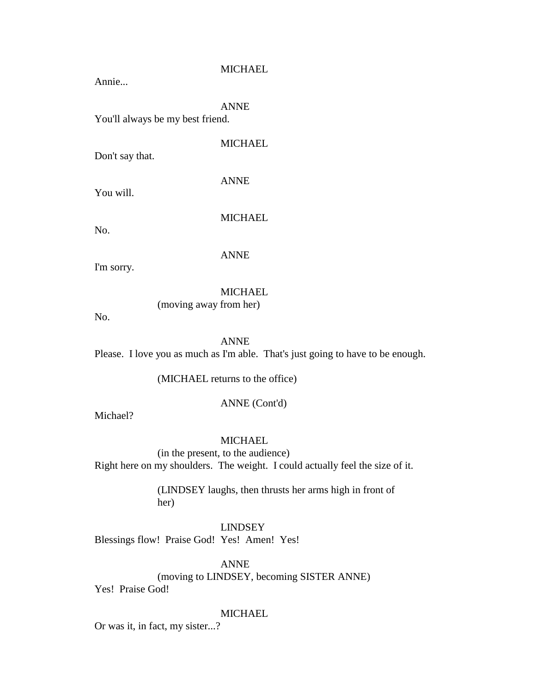Annie...

# ANNE

You'll always be my best friend.

Don't say that.

MICHAEL

You will.

ANNE

No.

MICHAEL

ANNE

(moving away from her)

I'm sorry.

# MICHAEL

No.

# ANNE

Please. I love you as much as I'm able. That's just going to have to be enough.

(MICHAEL returns to the office)

### ANNE (Cont'd)

Michael?

### MICHAEL

(in the present, to the audience) Right here on my shoulders. The weight. I could actually feel the size of it.

> (LINDSEY laughs, then thrusts her arms high in front of her)

# LINDSEY

Blessings flow! Praise God! Yes! Amen! Yes!

ANNE (moving to LINDSEY, becoming SISTER ANNE)

Yes! Praise God!

# **MICHAEL**

Or was it, in fact, my sister...?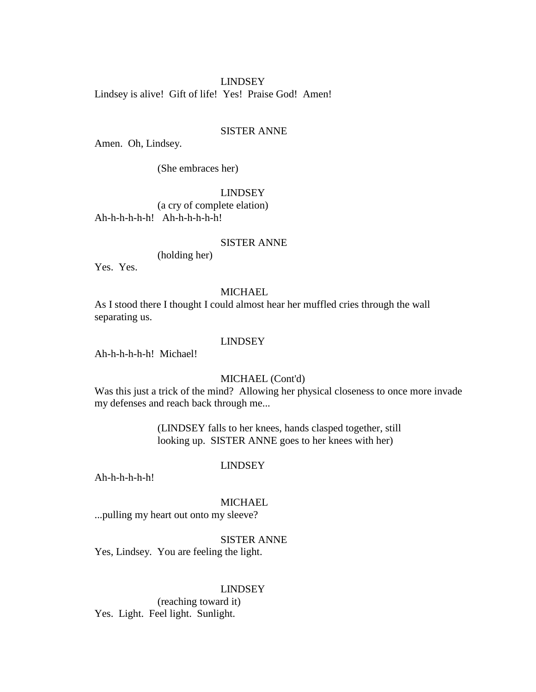Lindsey is alive! Gift of life! Yes! Praise God! Amen!

# SISTER ANNE

Amen. Oh, Lindsey.

(She embraces her)

### LINDSEY

(a cry of complete elation) Ah-h-h-h-h-h! Ah-h-h-h-h-h!

# SISTER ANNE

(holding her)

Yes. Yes.

### **MICHAEL**

As I stood there I thought I could almost hear her muffled cries through the wall separating us.

### LINDSEY

Ah-h-h-h-h-h! Michael!

### MICHAEL (Cont'd)

Was this just a trick of the mind? Allowing her physical closeness to once more invade my defenses and reach back through me...

> (LINDSEY falls to her knees, hands clasped together, still looking up. SISTER ANNE goes to her knees with her)

### LINDSEY

Ah-h-h-h-h-h!

#### **MICHAEL**

...pulling my heart out onto my sleeve?

# SISTER ANNE

Yes, Lindsey. You are feeling the light.

#### LINDSEY

(reaching toward it) Yes. Light. Feel light. Sunlight.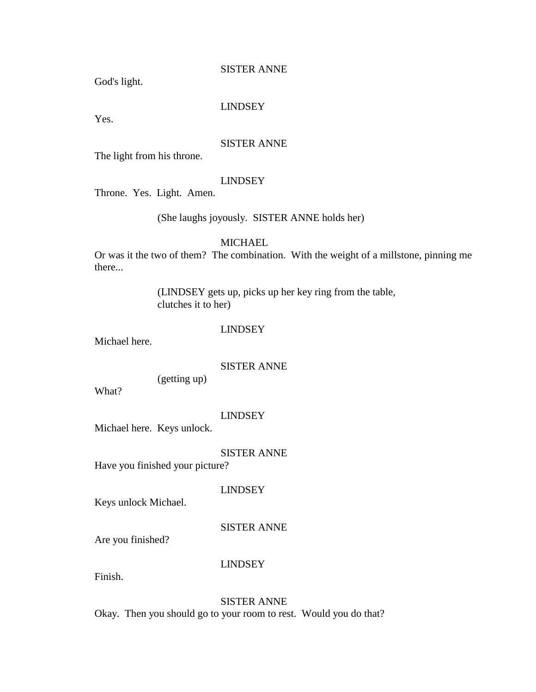# SISTER ANNE

God's light.

# LINDSEY

Yes.

### SISTER ANNE

The light from his throne.

#### LINDSEY

Throne. Yes. Light. Amen.

# (She laughs joyously. SISTER ANNE holds her)

# MICHAEL.

Or was it the two of them? The combination. With the weight of a millstone, pinning me there...

> (LINDSEY gets up, picks up her key ring from the table, clutches it to her)

### LINDSEY

Michael here.

# SISTER ANNE

(getting up)

What?

#### LINDSEY

Michael here. Keys unlock.

# SISTER ANNE

Have you finished your picture?

LINDSEY

Keys unlock Michael.

### SISTER ANNE

Are you finished?

# LINDSEY

Finish.

# SISTER ANNE

Okay. Then you should go to your room to rest. Would you do that?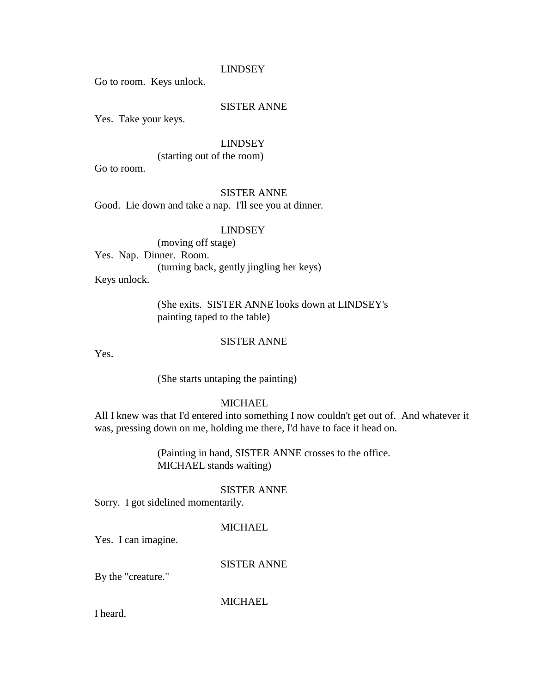Go to room. Keys unlock.

# SISTER ANNE

Yes. Take your keys.

### LINDSEY

(starting out of the room)

Go to room.

# SISTER ANNE

Good. Lie down and take a nap. I'll see you at dinner.

# LINDSEY

(moving off stage) Yes. Nap. Dinner. Room. (turning back, gently jingling her keys) Keys unlock.

> (She exits. SISTER ANNE looks down at LINDSEY's painting taped to the table)

# SISTER ANNE

Yes.

(She starts untaping the painting)

### **MICHAEL**

All I knew was that I'd entered into something I now couldn't get out of. And whatever it was, pressing down on me, holding me there, I'd have to face it head on.

> (Painting in hand, SISTER ANNE crosses to the office. MICHAEL stands waiting)

### SISTER ANNE

Sorry. I got sidelined momentarily.

#### MICHAEL

Yes. I can imagine.

SISTER ANNE

By the "creature."

**MICHAEL** 

I heard.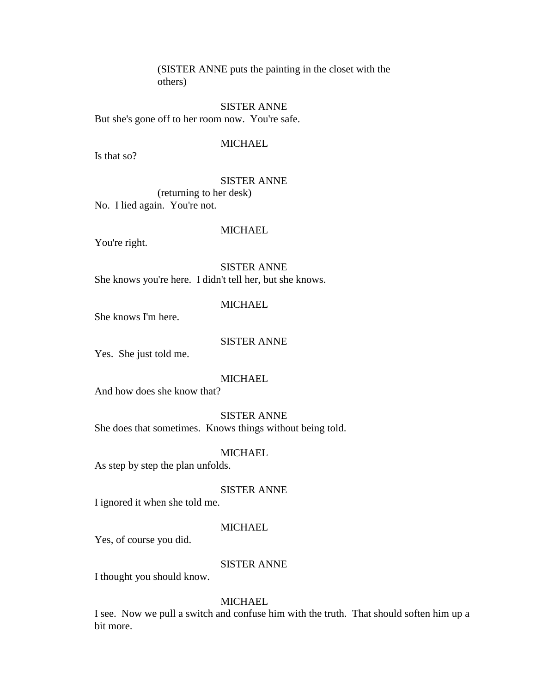(SISTER ANNE puts the painting in the closet with the others)

SISTER ANNE But she's gone off to her room now. You're safe.

### MICHAEL

Is that so?

### SISTER ANNE

(returning to her desk)

No. I lied again. You're not.

# MICHAEL

You're right.

SISTER ANNE She knows you're here. I didn't tell her, but she knows.

### MICHAEL

She knows I'm here.

# SISTER ANNE

Yes. She just told me.

#### **MICHAEL**

And how does she know that?

SISTER ANNE

She does that sometimes. Knows things without being told.

### **MICHAEL**

As step by step the plan unfolds.

### SISTER ANNE

I ignored it when she told me.

### MICHAEL

Yes, of course you did.

# SISTER ANNE

I thought you should know.

### MICHAEL

I see. Now we pull a switch and confuse him with the truth. That should soften him up a bit more.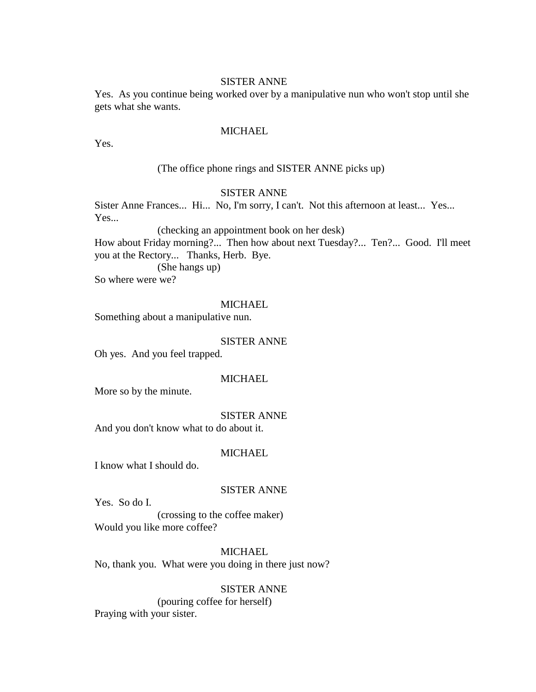# SISTER ANNE

Yes. As you continue being worked over by a manipulative nun who won't stop until she gets what she wants.

# **MICHAEL**

Yes.

### (The office phone rings and SISTER ANNE picks up)

# SISTER ANNE

Sister Anne Frances... Hi... No, I'm sorry, I can't. Not this afternoon at least... Yes... Yes...

(checking an appointment book on her desk)

How about Friday morning?... Then how about next Tuesday?... Ten?... Good. I'll meet you at the Rectory... Thanks, Herb. Bye.

(She hangs up)

So where were we?

### **MICHAEL**

Something about a manipulative nun.

# SISTER ANNE

Oh yes. And you feel trapped.

#### **MICHAEL**

More so by the minute.

#### SISTER ANNE

And you don't know what to do about it.

# **MICHAEL**

I know what I should do.

# SISTER ANNE

Yes. So do I.

(crossing to the coffee maker) Would you like more coffee?

### **MICHAEL**

No, thank you. What were you doing in there just now?

#### SISTER ANNE

(pouring coffee for herself) Praying with your sister.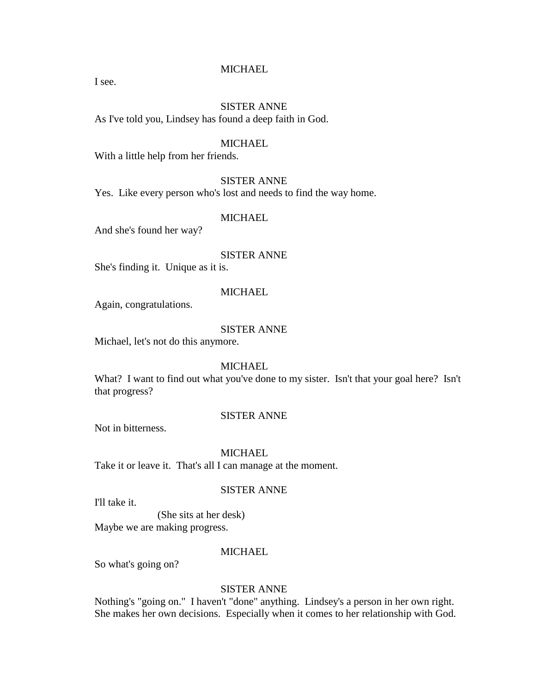I see.

# SISTER ANNE

As I've told you, Lindsey has found a deep faith in God.

### MICHAEL

With a little help from her friends.

### SISTER ANNE

Yes. Like every person who's lost and needs to find the way home.

# MICHAEL

And she's found her way?

# SISTER ANNE

She's finding it. Unique as it is.

#### **MICHAEL**

Again, congratulations.

#### SISTER ANNE

Michael, let's not do this anymore.

### **MICHAEL**

What? I want to find out what you've done to my sister. Isn't that your goal here? Isn't that progress?

#### SISTER ANNE

Not in bitterness.

# **MICHAEL**

Take it or leave it. That's all I can manage at the moment.

### SISTER ANNE

I'll take it.

# (She sits at her desk)

Maybe we are making progress.

#### **MICHAEL**

So what's going on?

### SISTER ANNE

Nothing's "going on." I haven't "done" anything. Lindsey's a person in her own right. She makes her own decisions. Especially when it comes to her relationship with God.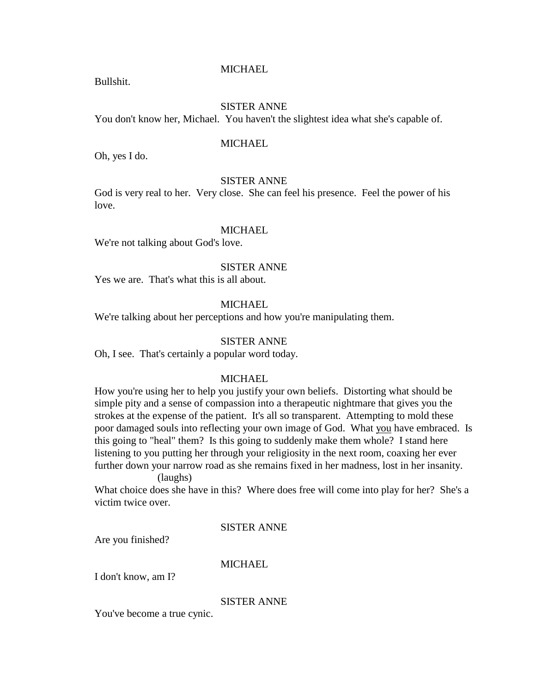Bullshit.

### SISTER ANNE

You don't know her, Michael. You haven't the slightest idea what she's capable of.

### **MICHAEL**

Oh, yes I do.

### SISTER ANNE

God is very real to her. Very close. She can feel his presence. Feel the power of his love.

# **MICHAEL**

We're not talking about God's love.

#### SISTER ANNE

Yes we are. That's what this is all about.

# MICHAEL

We're talking about her perceptions and how you're manipulating them.

### SISTER ANNE

Oh, I see. That's certainly a popular word today.

#### MICHAEL

How you're using her to help you justify your own beliefs. Distorting what should be simple pity and a sense of compassion into a therapeutic nightmare that gives you the strokes at the expense of the patient. It's all so transparent. Attempting to mold these poor damaged souls into reflecting your own image of God. What you have embraced. Is this going to "heal" them? Is this going to suddenly make them whole? I stand here listening to you putting her through your religiosity in the next room, coaxing her ever further down your narrow road as she remains fixed in her madness, lost in her insanity.

#### (laughs)

What choice does she have in this? Where does free will come into play for her? She's a victim twice over.

### SISTER ANNE

Are you finished?

# MICHAEL.

I don't know, am I?

# SISTER ANNE

You've become a true cynic.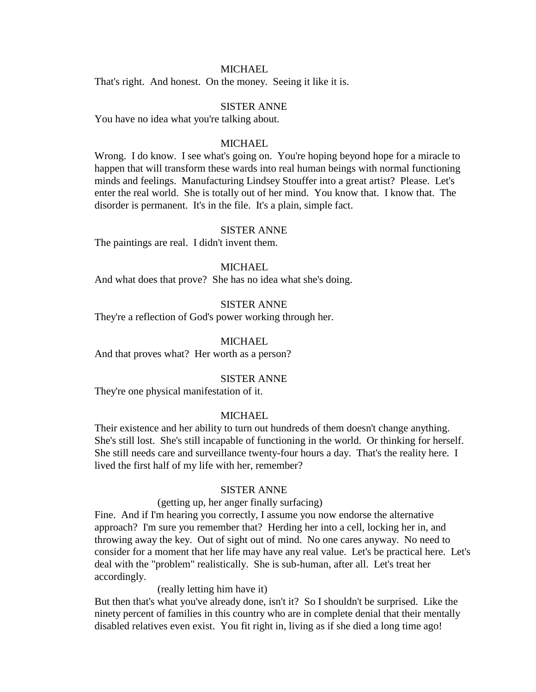That's right. And honest. On the money. Seeing it like it is.

### SISTER ANNE

You have no idea what you're talking about.

### MICHAEL

Wrong. I do know. I see what's going on. You're hoping beyond hope for a miracle to happen that will transform these wards into real human beings with normal functioning minds and feelings. Manufacturing Lindsey Stouffer into a great artist? Please. Let's enter the real world. She is totally out of her mind. You know that. I know that. The disorder is permanent. It's in the file. It's a plain, simple fact.

### SISTER ANNE

The paintings are real. I didn't invent them.

#### **MICHAEL**

And what does that prove? She has no idea what she's doing.

# SISTER ANNE

They're a reflection of God's power working through her.

### **MICHAEL**

And that proves what? Her worth as a person?

#### SISTER ANNE

They're one physical manifestation of it.

### MICHAEL

Their existence and her ability to turn out hundreds of them doesn't change anything. She's still lost. She's still incapable of functioning in the world. Or thinking for herself. She still needs care and surveillance twenty-four hours a day. That's the reality here. I lived the first half of my life with her, remember?

### SISTER ANNE

#### (getting up, her anger finally surfacing)

Fine. And if I'm hearing you correctly, I assume you now endorse the alternative approach? I'm sure you remember that? Herding her into a cell, locking her in, and throwing away the key. Out of sight out of mind. No one cares anyway. No need to consider for a moment that her life may have any real value. Let's be practical here. Let's deal with the "problem" realistically. She is sub-human, after all. Let's treat her accordingly.

(really letting him have it)

But then that's what you've already done, isn't it? So I shouldn't be surprised. Like the ninety percent of families in this country who are in complete denial that their mentally disabled relatives even exist. You fit right in, living as if she died a long time ago!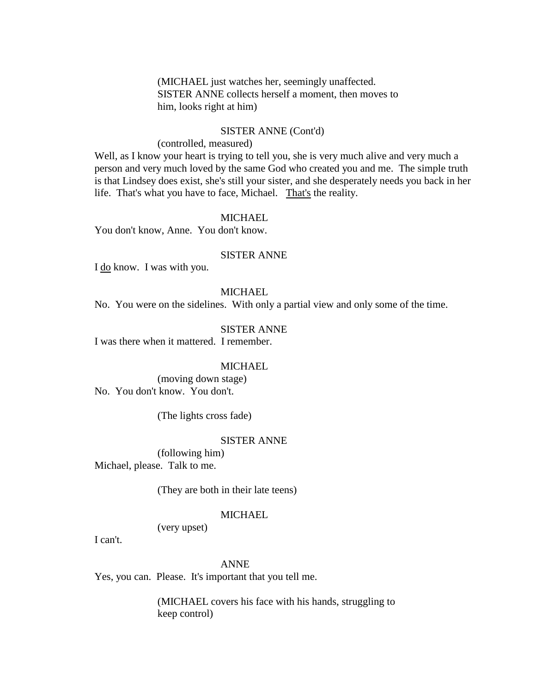(MICHAEL just watches her, seemingly unaffected. SISTER ANNE collects herself a moment, then moves to him, looks right at him)

### SISTER ANNE (Cont'd)

### (controlled, measured)

Well, as I know your heart is trying to tell you, she is very much alive and very much a person and very much loved by the same God who created you and me. The simple truth is that Lindsey does exist, she's still your sister, and she desperately needs you back in her life. That's what you have to face, Michael. That's the reality.

# MICHAEL

You don't know, Anne. You don't know.

# SISTER ANNE

I do know. I was with you.

### **MICHAEL**

No. You were on the sidelines. With only a partial view and only some of the time.

# SISTER ANNE

I was there when it mattered. I remember.

#### **MICHAEL**

(moving down stage) No. You don't know. You don't.

(The lights cross fade)

### SISTER ANNE

(following him) Michael, please. Talk to me.

(They are both in their late teens)

### MICHAEL

(very upset)

I can't.

### ANNE

Yes, you can. Please. It's important that you tell me.

(MICHAEL covers his face with his hands, struggling to keep control)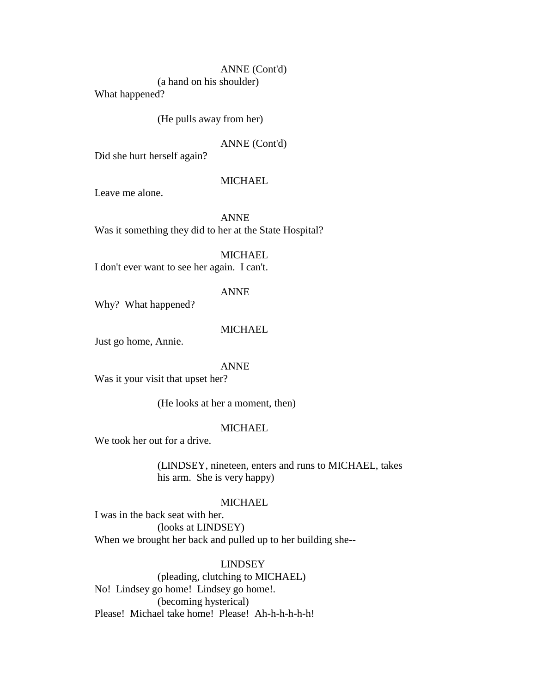### ANNE (Cont'd)

(a hand on his shoulder)

What happened?

# (He pulls away from her)

# ANNE (Cont'd)

Did she hurt herself again?

# **MICHAEL**

Leave me alone.

ANNE Was it something they did to her at the State Hospital?

**MICHAEL** 

I don't ever want to see her again. I can't.

### ANNE

Why? What happened?

# MICHAEL

Just go home, Annie.

### ANNE

Was it your visit that upset her?

(He looks at her a moment, then)

# MICHAEL

We took her out for a drive.

(LINDSEY, nineteen, enters and runs to MICHAEL, takes his arm. She is very happy)

# **MICHAEL**

I was in the back seat with her. (looks at LINDSEY) When we brought her back and pulled up to her building she--

# LINDSEY

(pleading, clutching to MICHAEL) No! Lindsey go home! Lindsey go home!. (becoming hysterical) Please! Michael take home! Please! Ah-h-h-h-h-h!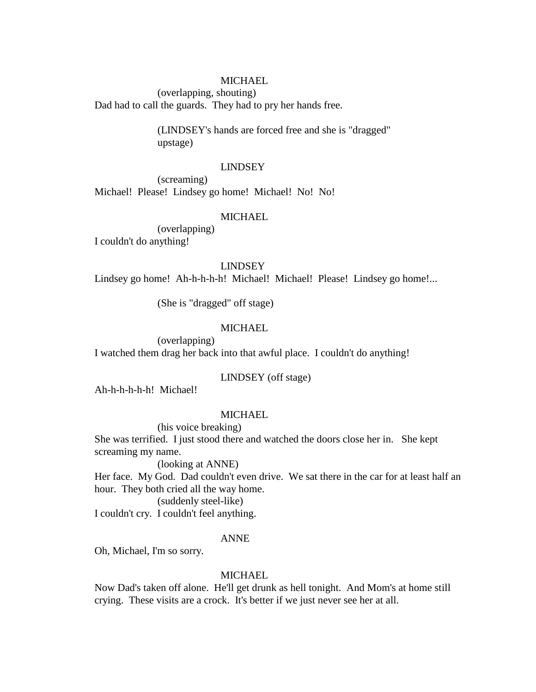(overlapping, shouting) Dad had to call the guards. They had to pry her hands free.

> (LINDSEY's hands are forced free and she is "dragged" upstage)

#### LINDSEY

(screaming) Michael! Please! Lindsey go home! Michael! No! No!

### MICHAEL

(overlapping) I couldn't do anything!

### LINDSEY

Lindsey go home! Ah-h-h-h-h! Michael! Michael! Please! Lindsey go home!...

(She is "dragged" off stage)

### MICHAEL

(overlapping) I watched them drag her back into that awful place. I couldn't do anything!

### LINDSEY (off stage)

Ah-h-h-h-h-h! Michael!

### **MICHAEL**

(his voice breaking)

She was terrified. I just stood there and watched the doors close her in. She kept screaming my name.

(looking at ANNE)

Her face. My God. Dad couldn't even drive. We sat there in the car for at least half an hour. They both cried all the way home.

### (suddenly steel-like)

I couldn't cry. I couldn't feel anything.

# ANNE

Oh, Michael, I'm so sorry.

### MICHAEL.

Now Dad's taken off alone. He'll get drunk as hell tonight. And Mom's at home still crying. These visits are a crock. It's better if we just never see her at all.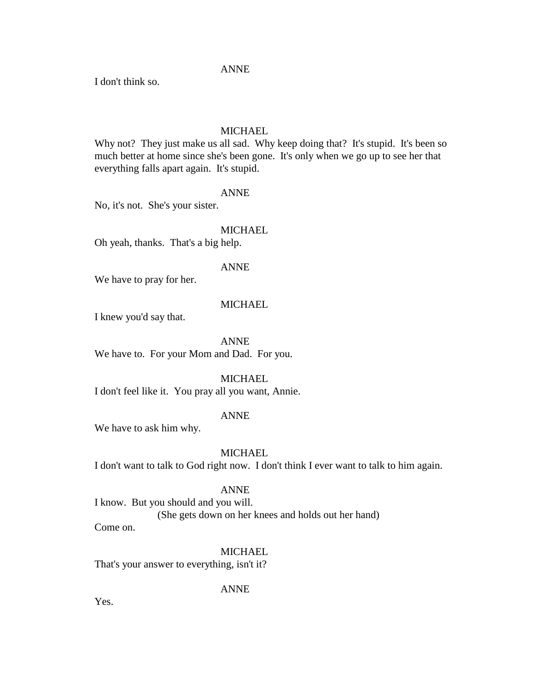I don't think so.

# **MICHAEL**

Why not? They just make us all sad. Why keep doing that? It's stupid. It's been so much better at home since she's been gone. It's only when we go up to see her that everything falls apart again. It's stupid.

# ANNE

No, it's not. She's your sister.

# MICHAEL

Oh yeah, thanks. That's a big help.

### ANNE

We have to pray for her.

# MICHAEL.

I knew you'd say that.

ANNE We have to. For your Mom and Dad. For you.

### **MICHAEL**

I don't feel like it. You pray all you want, Annie.

### ANNE

We have to ask him why.

# **MICHAEL**

I don't want to talk to God right now. I don't think I ever want to talk to him again.

### ANNE

I know. But you should and you will. (She gets down on her knees and holds out her hand)

Come on.

### **MICHAEL**

That's your answer to everything, isn't it?

ANNE

Yes.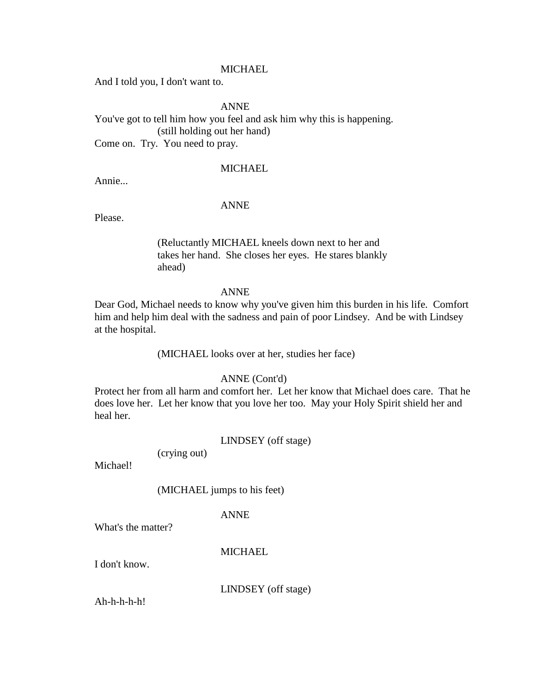And I told you, I don't want to.

ANNE

You've got to tell him how you feel and ask him why this is happening. (still holding out her hand) Come on. Try. You need to pray.

# **MICHAEL**

Annie...

### ANNE

Please.

(Reluctantly MICHAEL kneels down next to her and takes her hand. She closes her eyes. He stares blankly ahead)

### ANNE

Dear God, Michael needs to know why you've given him this burden in his life. Comfort him and help him deal with the sadness and pain of poor Lindsey. And be with Lindsey at the hospital.

(MICHAEL looks over at her, studies her face)

# ANNE (Cont'd)

Protect her from all harm and comfort her. Let her know that Michael does care. That he does love her. Let her know that you love her too. May your Holy Spirit shield her and heal her.

LINDSEY (off stage)

(crying out)

Michael!

(MICHAEL jumps to his feet)

### ANNE

What's the matter?

MICHAEL.

I don't know.

LINDSEY (off stage)

Ah-h-h-h-h!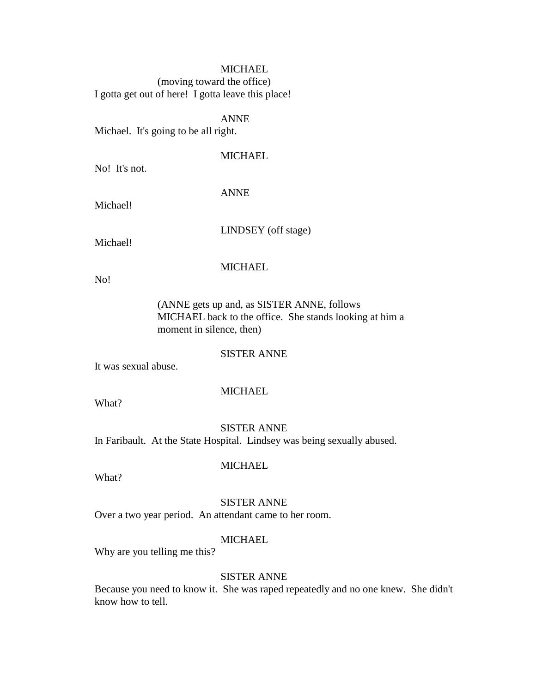(moving toward the office) I gotta get out of here! I gotta leave this place!

ANNE

Michael. It's going to be all right.

# **MICHAEL**

No! It's not.

ANNE

Michael!

LINDSEY (off stage)

Michael!

# **MICHAEL**

No!

(ANNE gets up and, as SISTER ANNE, follows MICHAEL back to the office. She stands looking at him a moment in silence, then)

### SISTER ANNE

It was sexual abuse.

# **MICHAEL**

What?

# SISTER ANNE

In Faribault. At the State Hospital. Lindsey was being sexually abused.

MICHAEL

What?

# SISTER ANNE

Over a two year period. An attendant came to her room.

# MICHAEL

Why are you telling me this?

# SISTER ANNE

Because you need to know it. She was raped repeatedly and no one knew. She didn't know how to tell.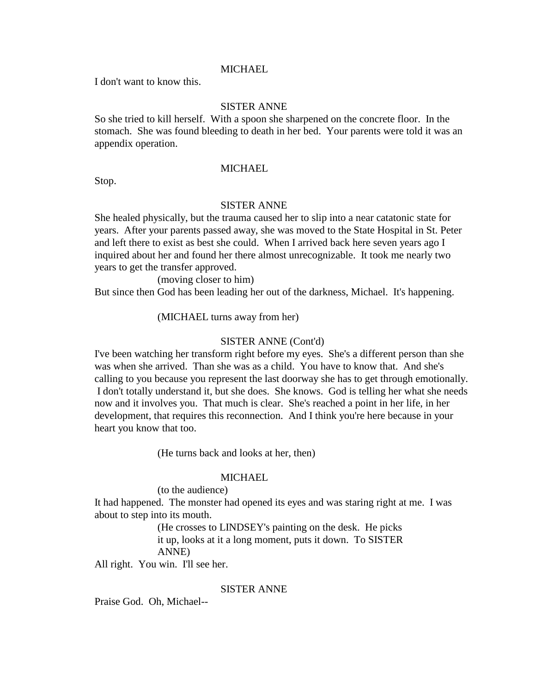I don't want to know this.

# SISTER ANNE

So she tried to kill herself. With a spoon she sharpened on the concrete floor. In the stomach. She was found bleeding to death in her bed. Your parents were told it was an appendix operation.

### **MICHAEL**

Stop.

#### SISTER ANNE

She healed physically, but the trauma caused her to slip into a near catatonic state for years. After your parents passed away, she was moved to the State Hospital in St. Peter and left there to exist as best she could. When I arrived back here seven years ago I inquired about her and found her there almost unrecognizable. It took me nearly two years to get the transfer approved.

(moving closer to him)

But since then God has been leading her out of the darkness, Michael. It's happening.

(MICHAEL turns away from her)

### SISTER ANNE (Cont'd)

I've been watching her transform right before my eyes. She's a different person than she was when she arrived. Than she was as a child. You have to know that. And she's calling to you because you represent the last doorway she has to get through emotionally. I don't totally understand it, but she does. She knows. God is telling her what she needs now and it involves you. That much is clear. She's reached a point in her life, in her development, that requires this reconnection. And I think you're here because in your heart you know that too.

(He turns back and looks at her, then)

### MICHAEL

# (to the audience)

It had happened. The monster had opened its eyes and was staring right at me. I was about to step into its mouth.

> (He crosses to LINDSEY's painting on the desk. He picks it up, looks at it a long moment, puts it down. To SISTER ANNE)

All right. You win. I'll see her.

### SISTER ANNE

Praise God. Oh, Michael--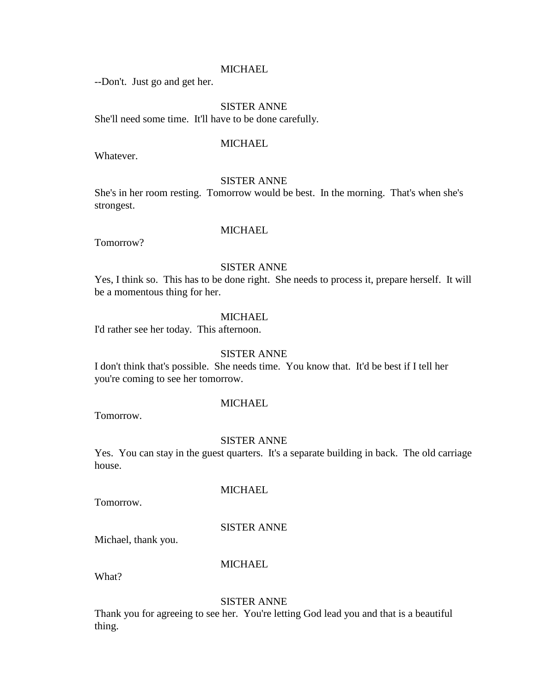--Don't. Just go and get her.

# SISTER ANNE

She'll need some time. It'll have to be done carefully.

### **MICHAEL**

Whatever.

### SISTER ANNE

She's in her room resting. Tomorrow would be best. In the morning. That's when she's strongest.

# MICHAEL

Tomorrow?

# SISTER ANNE

Yes, I think so. This has to be done right. She needs to process it, prepare herself. It will be a momentous thing for her.

### MICHAEL

I'd rather see her today. This afternoon.

### SISTER ANNE

I don't think that's possible. She needs time. You know that. It'd be best if I tell her you're coming to see her tomorrow.

#### **MICHAEL**

Tomorrow.

#### SISTER ANNE

Yes. You can stay in the guest quarters. It's a separate building in back. The old carriage house.

Tomorrow.

**MICHAEL** 

### SISTER ANNE

Michael, thank you.

# **MICHAEL**

What?

### SISTER ANNE

Thank you for agreeing to see her. You're letting God lead you and that is a beautiful thing.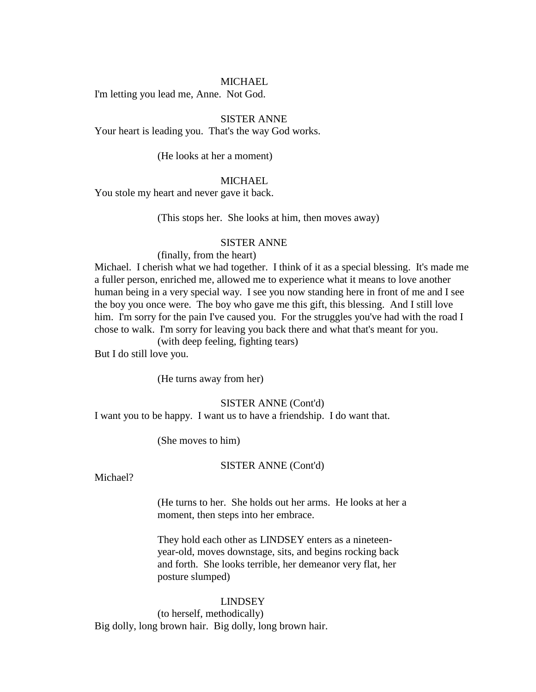I'm letting you lead me, Anne. Not God.

### SISTER ANNE

Your heart is leading you. That's the way God works.

(He looks at her a moment)

#### MICHAEL

You stole my heart and never gave it back.

(This stops her. She looks at him, then moves away)

#### SISTER ANNE

### (finally, from the heart)

Michael. I cherish what we had together. I think of it as a special blessing. It's made me a fuller person, enriched me, allowed me to experience what it means to love another human being in a very special way. I see you now standing here in front of me and I see the boy you once were. The boy who gave me this gift, this blessing. And I still love him. I'm sorry for the pain I've caused you. For the struggles you've had with the road I chose to walk. I'm sorry for leaving you back there and what that's meant for you.

(with deep feeling, fighting tears)

But I do still love you.

(He turns away from her)

### SISTER ANNE (Cont'd)

I want you to be happy. I want us to have a friendship. I do want that.

(She moves to him)

#### SISTER ANNE (Cont'd)

Michael?

(He turns to her. She holds out her arms. He looks at her a moment, then steps into her embrace.

They hold each other as LINDSEY enters as a nineteenyear-old, moves downstage, sits, and begins rocking back and forth. She looks terrible, her demeanor very flat, her posture slumped)

#### LINDSEY

(to herself, methodically) Big dolly, long brown hair. Big dolly, long brown hair.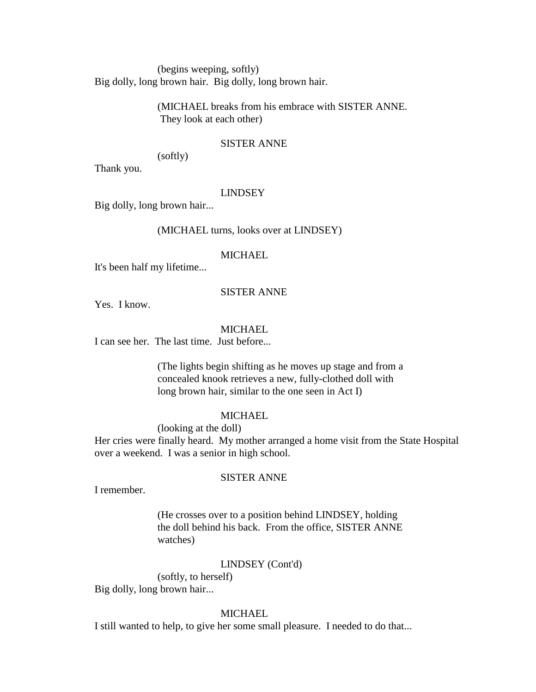(begins weeping, softly) Big dolly, long brown hair. Big dolly, long brown hair.

> (MICHAEL breaks from his embrace with SISTER ANNE. They look at each other)

## SISTER ANNE

(softly)

Thank you.

## LINDSEY

Big dolly, long brown hair...

## (MICHAEL turns, looks over at LINDSEY)

## **MICHAEL**

It's been half my lifetime...

## SISTER ANNE

Yes. I know.

#### MICHAEL

I can see her. The last time. Just before...

(The lights begin shifting as he moves up stage and from a concealed knook retrieves a new, fully-clothed doll with long brown hair, similar to the one seen in Act I)

#### **MICHAEL**

(looking at the doll)

Her cries were finally heard. My mother arranged a home visit from the State Hospital over a weekend. I was a senior in high school.

#### SISTER ANNE

I remember.

(He crosses over to a position behind LINDSEY, holding the doll behind his back. From the office, SISTER ANNE watches)

## LINDSEY (Cont'd)

(softly, to herself) Big dolly, long brown hair...

## **MICHAEL**

I still wanted to help, to give her some small pleasure. I needed to do that...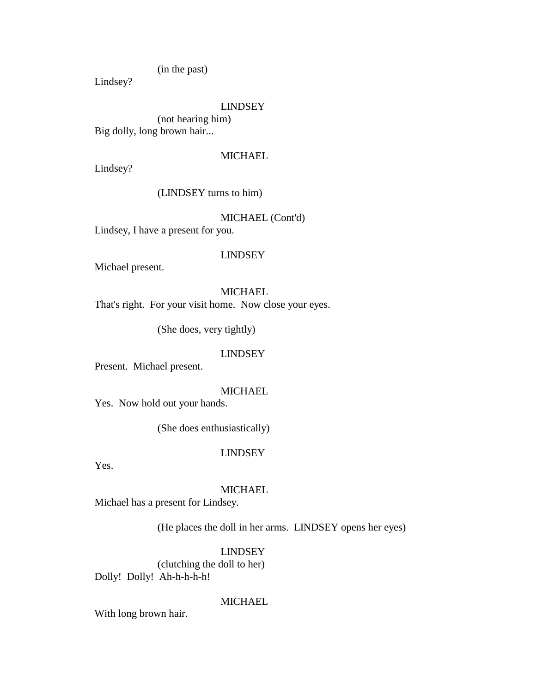(in the past)

Lindsey?

## LINDSEY

(not hearing him) Big dolly, long brown hair...

## **MICHAEL**

Lindsey?

(LINDSEY turns to him)

# MICHAEL (Cont'd)

Lindsey, I have a present for you.

#### LINDSEY

Michael present.

## MICHAEL

That's right. For your visit home. Now close your eyes.

(She does, very tightly)

### LINDSEY

Present. Michael present.

## **MICHAEL**

Yes. Now hold out your hands.

(She does enthusiastically)

## LINDSEY

Yes.

## MICHAEL

Michael has a present for Lindsey.

(He places the doll in her arms. LINDSEY opens her eyes)

LINDSEY (clutching the doll to her) Dolly! Dolly! Ah-h-h-h-h!

# MICHAEL

With long brown hair.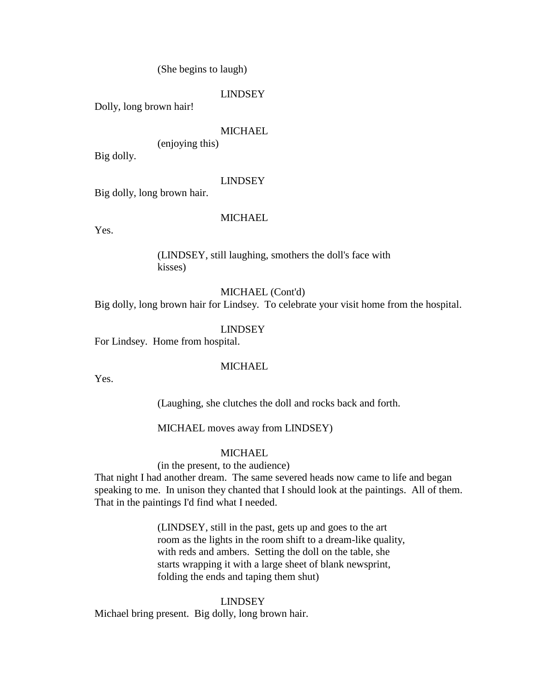(She begins to laugh)

## LINDSEY

Dolly, long brown hair!

## **MICHAEL**

(enjoying this)

Big dolly.

## LINDSEY

Big dolly, long brown hair.

## MICHAEL

Yes.

(LINDSEY, still laughing, smothers the doll's face with kisses)

MICHAEL (Cont'd)

Big dolly, long brown hair for Lindsey. To celebrate your visit home from the hospital.

LINDSEY

For Lindsey. Home from hospital.

### **MICHAEL**

Yes.

(Laughing, she clutches the doll and rocks back and forth.

MICHAEL moves away from LINDSEY)

## **MICHAEL**

(in the present, to the audience)

That night I had another dream. The same severed heads now came to life and began speaking to me. In unison they chanted that I should look at the paintings. All of them. That in the paintings I'd find what I needed.

> (LINDSEY, still in the past, gets up and goes to the art room as the lights in the room shift to a dream-like quality, with reds and ambers. Setting the doll on the table, she starts wrapping it with a large sheet of blank newsprint, folding the ends and taping them shut)

## LINDSEY

Michael bring present. Big dolly, long brown hair.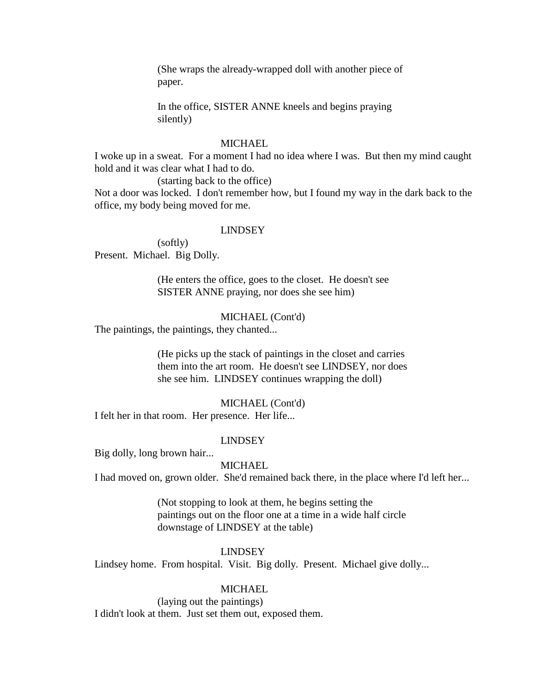(She wraps the already-wrapped doll with another piece of paper.

In the office, SISTER ANNE kneels and begins praying silently)

## **MICHAEL**

I woke up in a sweat. For a moment I had no idea where I was. But then my mind caught hold and it was clear what I had to do.

(starting back to the office)

Not a door was locked. I don't remember how, but I found my way in the dark back to the office, my body being moved for me.

## LINDSEY

(softly) Present. Michael. Big Dolly.

> (He enters the office, goes to the closet. He doesn't see SISTER ANNE praying, nor does she see him)

## MICHAEL (Cont'd)

The paintings, the paintings, they chanted...

(He picks up the stack of paintings in the closet and carries them into the art room. He doesn't see LINDSEY, nor does she see him. LINDSEY continues wrapping the doll)

#### MICHAEL (Cont'd)

I felt her in that room. Her presence. Her life...

#### LINDSEY

Big dolly, long brown hair...

### **MICHAEL**

I had moved on, grown older. She'd remained back there, in the place where I'd left her...

(Not stopping to look at them, he begins setting the paintings out on the floor one at a time in a wide half circle downstage of LINDSEY at the table)

#### LINDSEY

Lindsey home. From hospital. Visit. Big dolly. Present. Michael give dolly...

## MICHAEL

(laying out the paintings) I didn't look at them. Just set them out, exposed them.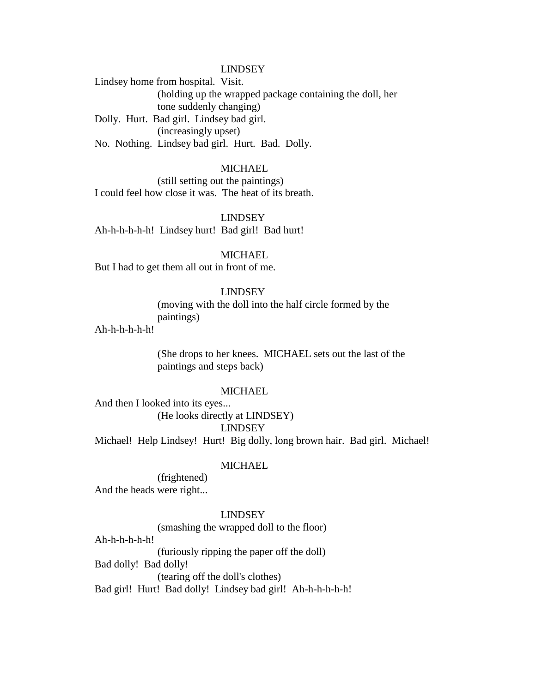LINDSEY

Lindsey home from hospital. Visit. (holding up the wrapped package containing the doll, her tone suddenly changing) Dolly. Hurt. Bad girl. Lindsey bad girl. (increasingly upset) No. Nothing. Lindsey bad girl. Hurt. Bad. Dolly.

## **MICHAEL**

(still setting out the paintings) I could feel how close it was. The heat of its breath.

LINDSEY Ah-h-h-h-h-h! Lindsey hurt! Bad girl! Bad hurt!

#### MICHAEL

But I had to get them all out in front of me.

## LINDSEY

(moving with the doll into the half circle formed by the paintings)

Ah-h-h-h-h-h!

(She drops to her knees. MICHAEL sets out the last of the paintings and steps back)

#### **MICHAEL**

And then I looked into its eyes... (He looks directly at LINDSEY) LINDSEY

Michael! Help Lindsey! Hurt! Big dolly, long brown hair. Bad girl. Michael!

### **MICHAEL**

(frightened) And the heads were right...

#### LINDSEY

(smashing the wrapped doll to the floor)

Ah-h-h-h-h-h!

(furiously ripping the paper off the doll)

Bad dolly! Bad dolly!

(tearing off the doll's clothes)

Bad girl! Hurt! Bad dolly! Lindsey bad girl! Ah-h-h-h-h-h!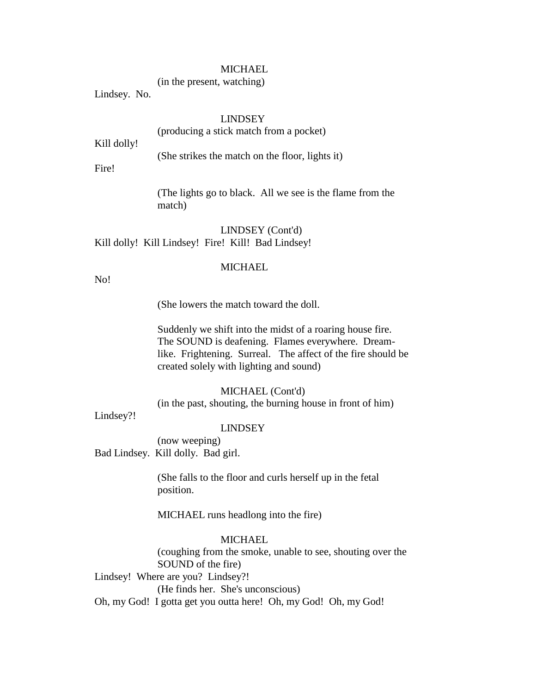(in the present, watching)

Lindsey. No.

## LINDSEY

## (producing a stick match from a pocket)

Kill dolly!

(She strikes the match on the floor, lights it)

Fire!

(The lights go to black. All we see is the flame from the match)

LINDSEY (Cont'd) Kill dolly! Kill Lindsey! Fire! Kill! Bad Lindsey!

## **MICHAEL**

No!

(She lowers the match toward the doll.

Suddenly we shift into the midst of a roaring house fire. The SOUND is deafening. Flames everywhere. Dreamlike. Frightening. Surreal. The affect of the fire should be created solely with lighting and sound)

## MICHAEL (Cont'd)

(in the past, shouting, the burning house in front of him)

Lindsey?!

#### LINDSEY

(now weeping) Bad Lindsey. Kill dolly. Bad girl.

> (She falls to the floor and curls herself up in the fetal position.

MICHAEL runs headlong into the fire)

# **MICHAEL**

(coughing from the smoke, unable to see, shouting over the SOUND of the fire)

Lindsey! Where are you? Lindsey?!

(He finds her. She's unconscious)

Oh, my God! I gotta get you outta here! Oh, my God! Oh, my God!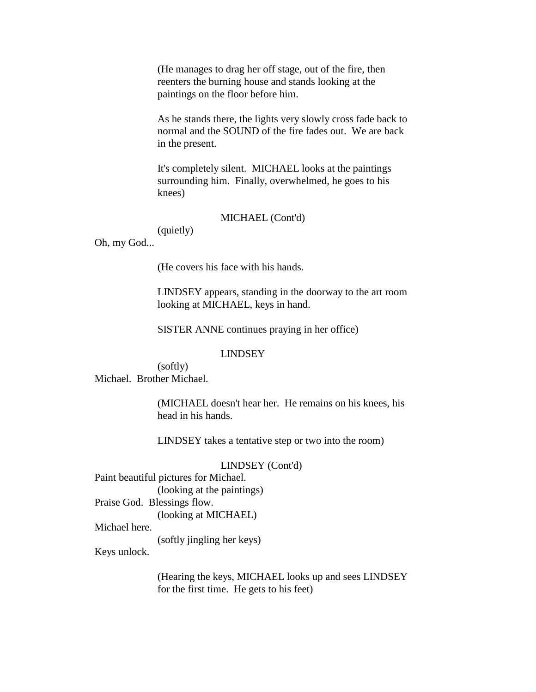(He manages to drag her off stage, out of the fire, then reenters the burning house and stands looking at the paintings on the floor before him.

As he stands there, the lights very slowly cross fade back to normal and the SOUND of the fire fades out. We are back in the present.

It's completely silent. MICHAEL looks at the paintings surrounding him. Finally, overwhelmed, he goes to his knees)

## MICHAEL (Cont'd)

(quietly)

Oh, my God...

(He covers his face with his hands.

LINDSEY appears, standing in the doorway to the art room looking at MICHAEL, keys in hand.

SISTER ANNE continues praying in her office)

#### LINDSEY

(softly) Michael. Brother Michael.

> (MICHAEL doesn't hear her. He remains on his knees, his head in his hands.

LINDSEY takes a tentative step or two into the room)

#### LINDSEY (Cont'd)

Paint beautiful pictures for Michael.

(looking at the paintings)

Praise God. Blessings flow.

(looking at MICHAEL)

Michael here.

(softly jingling her keys)

Keys unlock.

(Hearing the keys, MICHAEL looks up and sees LINDSEY for the first time. He gets to his feet)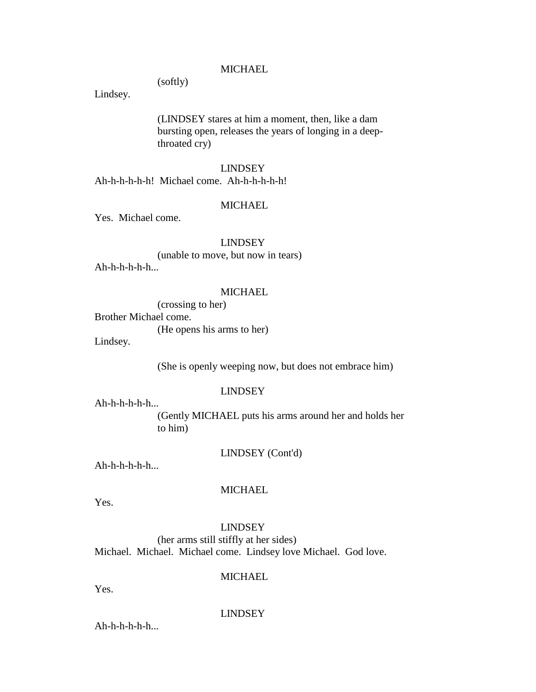(softly)

Lindsey.

(LINDSEY stares at him a moment, then, like a dam bursting open, releases the years of longing in a deepthroated cry)

### LINDSEY

Ah-h-h-h-h-h! Michael come. Ah-h-h-h-h-h!

### MICHAEL

Yes. Michael come.

## LINDSEY

(unable to move, but now in tears) Ah-h-h-h-h-h...

#### MICHAEL

(crossing to her)

Brother Michael come.

(He opens his arms to her)

Lindsey.

(She is openly weeping now, but does not embrace him)

## LINDSEY

Ah-h-h-h-h-h...

(Gently MICHAEL puts his arms around her and holds her to him)

LINDSEY (Cont'd)

Ah-h-h-h-h-h...

## MICHAEL

Yes.

# LINDSEY

(her arms still stiffly at her sides) Michael. Michael. Michael come. Lindsey love Michael. God love.

## **MICHAEL**

Yes.

#### LINDSEY

 $Ah-h-h-h-h...$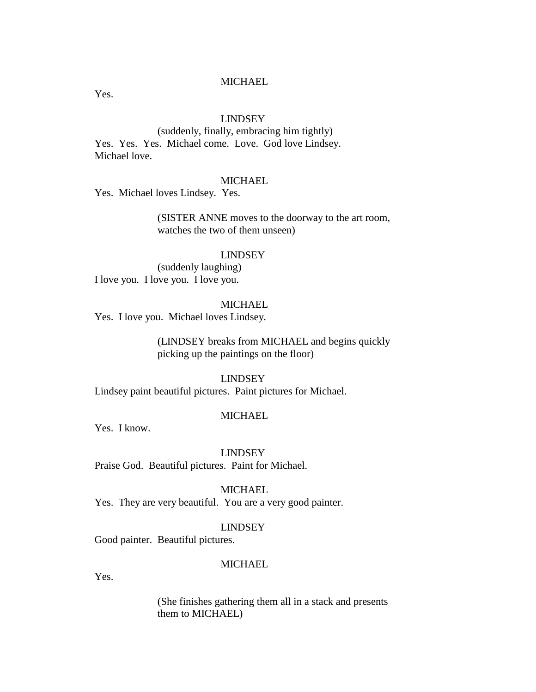Yes.

## LINDSEY

(suddenly, finally, embracing him tightly) Yes. Yes. Yes. Michael come. Love. God love Lindsey. Michael love.

## **MICHAEL**

Yes. Michael loves Lindsey. Yes.

(SISTER ANNE moves to the doorway to the art room, watches the two of them unseen)

## LINDSEY

(suddenly laughing) I love you. I love you. I love you.

## MICHAEL

Yes. I love you. Michael loves Lindsey.

(LINDSEY breaks from MICHAEL and begins quickly picking up the paintings on the floor)

## LINDSEY

Lindsey paint beautiful pictures. Paint pictures for Michael.

## **MICHAEL**

Yes. I know.

LINDSEY Praise God. Beautiful pictures. Paint for Michael.

#### MICHAEL

Yes. They are very beautiful. You are a very good painter.

### LINDSEY

Good painter. Beautiful pictures.

## MICHAEL.

Yes.

(She finishes gathering them all in a stack and presents them to MICHAEL)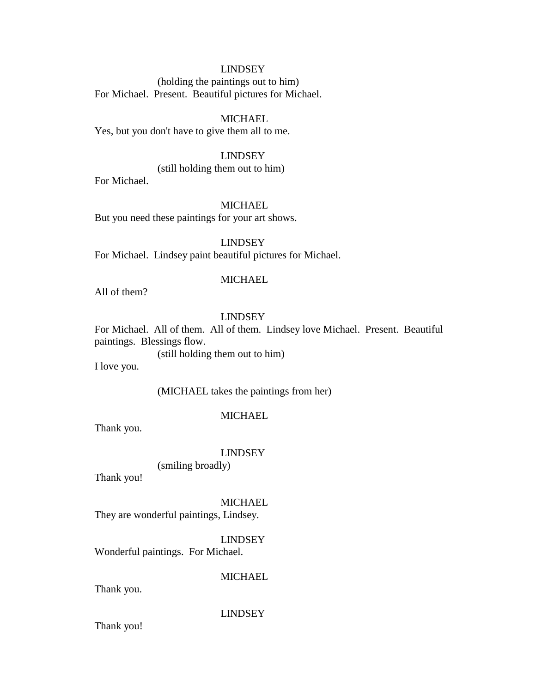## LINDSEY

(holding the paintings out to him) For Michael. Present. Beautiful pictures for Michael.

## MICHAEL

Yes, but you don't have to give them all to me.

# LINDSEY

(still holding them out to him)

For Michael.

## MICHAEL

But you need these paintings for your art shows.

## LINDSEY

For Michael. Lindsey paint beautiful pictures for Michael.

## **MICHAEL**

All of them?

## LINDSEY

For Michael. All of them. All of them. Lindsey love Michael. Present. Beautiful paintings. Blessings flow.

(still holding them out to him)

I love you.

## (MICHAEL takes the paintings from her)

## MICHAEL

Thank you.

#### LINDSEY

(smiling broadly)

Thank you!

#### **MICHAEL**

They are wonderful paintings, Lindsey.

LINDSEY

Wonderful paintings. For Michael.

# **MICHAEL**

Thank you.

#### LINDSEY

Thank you!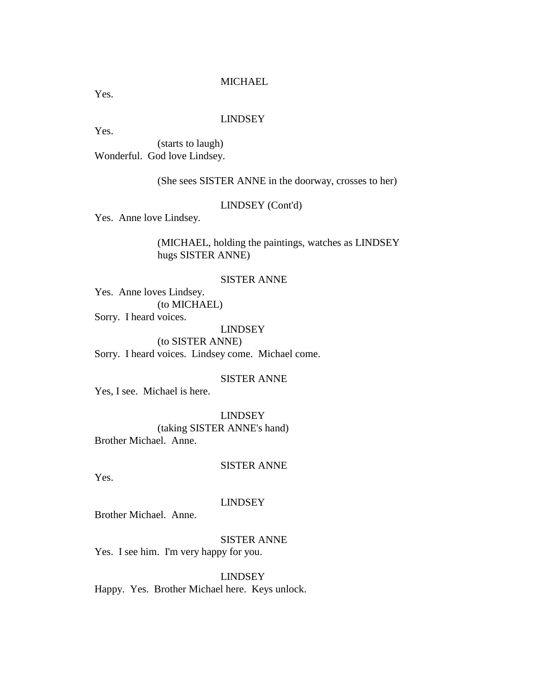Yes.

#### LINDSEY

Yes.

(starts to laugh) Wonderful. God love Lindsey.

(She sees SISTER ANNE in the doorway, crosses to her)

## LINDSEY (Cont'd)

Yes. Anne love Lindsey.

(MICHAEL, holding the paintings, watches as LINDSEY hugs SISTER ANNE)

## SISTER ANNE

Yes. Anne loves Lindsey. (to MICHAEL) Sorry. I heard voices.

LINDSEY

(to SISTER ANNE) Sorry. I heard voices. Lindsey come. Michael come.

### SISTER ANNE

Yes, I see. Michael is here.

LINDSEY (taking SISTER ANNE's hand) Brother Michael. Anne.

### SISTER ANNE

Yes.

## LINDSEY

Brother Michael. Anne.

# SISTER ANNE

Yes. I see him. I'm very happy for you.

LINDSEY Happy. Yes. Brother Michael here. Keys unlock.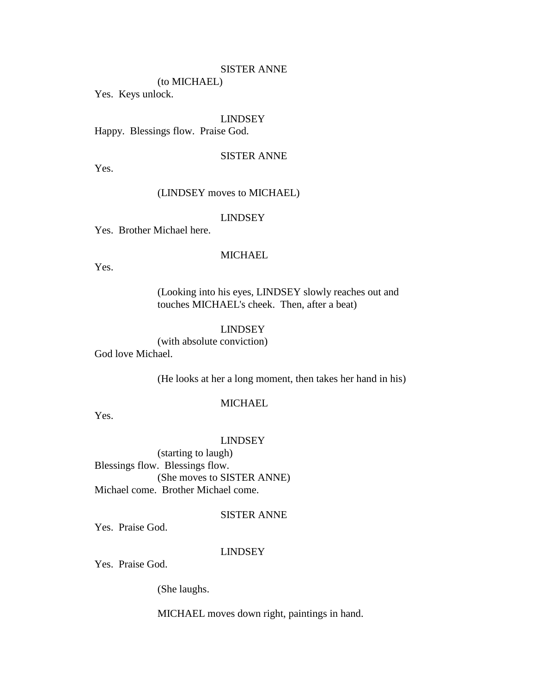## SISTER ANNE

(to MICHAEL)

Yes. Keys unlock.

## LINDSEY

Happy. Blessings flow. Praise God.

# SISTER ANNE

Yes.

## (LINDSEY moves to MICHAEL)

## LINDSEY

Yes. Brother Michael here.

## **MICHAEL**

Yes.

(Looking into his eyes, LINDSEY slowly reaches out and touches MICHAEL's cheek. Then, after a beat)

## LINDSEY

(with absolute conviction) God love Michael.

(He looks at her a long moment, then takes her hand in his)

## **MICHAEL**

Yes.

#### LINDSEY

(starting to laugh) Blessings flow. Blessings flow. (She moves to SISTER ANNE) Michael come. Brother Michael come.

## SISTER ANNE

Yes. Praise God.

#### LINDSEY

Yes. Praise God.

(She laughs.

MICHAEL moves down right, paintings in hand.